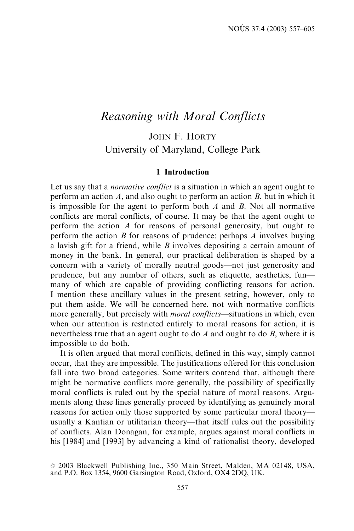# Reasoning with Moral Conflicts

# JOHN F. HORTY University of Maryland, College Park

## 1 Introduction

Let us say that a *normative conflict* is a situation in which an agent ought to perform an action  $A$ , and also ought to perform an action  $B$ , but in which it is impossible for the agent to perform both  $A$  and  $B$ . Not all normative conflicts are moral conflicts, of course. It may be that the agent ought to perform the action  $\Lambda$  for reasons of personal generosity, but ought to perform the action  $B$  for reasons of prudence: perhaps  $A$  involves buying a lavish gift for a friend, while  $B$  involves depositing a certain amount of money in the bank. In general, our practical deliberation is shaped by a concern with a variety of morally neutral goods—not just generosity and prudence, but any number of others, such as etiquette, aesthetics, fun many of which are capable of providing conflicting reasons for action. I mention these ancillary values in the present setting, however, only to put them aside. We will be concerned here, not with normative conflicts more generally, but precisely with *moral conflicts*—situations in which, even when our attention is restricted entirely to moral reasons for action, it is nevertheless true that an agent ought to do  $A$  and ought to do  $B$ , where it is impossible to do both.

It is often argued that moral conflicts, defined in this way, simply cannot occur, that they are impossible. The justifications offered for this conclusion fall into two broad categories. Some writers contend that, although there might be normative conflicts more generally, the possibility of specifically moral conflicts is ruled out by the special nature of moral reasons. Arguments along these lines generally proceed by identifying as genuinely moral reasons for action only those supported by some particular moral theory usually a Kantian or utilitarian theory—that itself rules out the possibility of conflicts. Alan Donagan, for example, argues against moral conflicts in his [1984] and [1993] by advancing a kind of rationalist theory, developed

 $\odot$  2003 Blackwell Publishing Inc., 350 Main Street, Malden, MA 02148, USA, and P.O. Box 1354, 9600 Garsington Road, Oxford, OX4 2DQ, UK.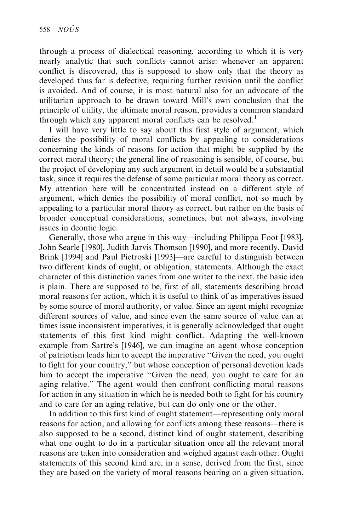through a process of dialectical reasoning, according to which it is very nearly analytic that such conflicts cannot arise: whenever an apparent conflict is discovered, this is supposed to show only that the theory as developed thus far is defective, requiring further revision until the conflict is avoided. And of course, it is most natural also for an advocate of the utilitarian approach to be drawn toward Mill's own conclusion that the principle of utility, the ultimate moral reason, provides a common standard through which any apparent moral conflicts can be resolved.<sup>1</sup>

I will have very little to say about this first style of argument, which denies the possibility of moral conflicts by appealing to considerations concerning the kinds of reasons for action that might be supplied by the correct moral theory; the general line of reasoning is sensible, of course, but the project of developing any such argument in detail would be a substantial task, since it requires the defense of some particular moral theory as correct. My attention here will be concentrated instead on a different style of argument, which denies the possibility of moral conflict, not so much by appealing to a particular moral theory as correct, but rather on the basis of broader conceptual considerations, sometimes, but not always, involving issues in deontic logic.

Generally, those who argue in this way—including Philippa Foot [1983], John Searle [1980], Judith Jarvis Thomson [1990], and more recently, David Brink [1994] and Paul Pietroski [1993]—are careful to distinguishbetween two different kinds of ought, or obligation, statements. Although the exact character of this distinction varies from one writer to the next, the basic idea is plain. There are supposed to be, first of all, statements describing broad moral reasons for action, which it is useful to think of as imperatives issued by some source of moral authority, or value. Since an agent might recognize different sources of value, and since even the same source of value can at times issue inconsistent imperatives, it is generally acknowledged that ought statements of this first kind might conflict. Adapting the well-known example from Sartre's [1946], we can imagine an agent whose conception of patriotism leads him to accept the imperative ''Given the need, you ought to fight for your country,'' but whose conception of personal devotion leads him to accept the imperative ''Given the need, you ought to care for an aging relative.'' The agent would then confront conflicting moral reasons for action in any situation in which he is needed both to fight for his country and to care for an aging relative, but can do only one or the other.

In addition to this first kind of ought statement—representing only moral reasons for action, and allowing for conflicts among these reasons—there is also supposed to be a second, distinct kind of ought statement, describing what one ought to do in a particular situation once all the relevant moral reasons are taken into consideration and weighed against each other. Ought statements of this second kind are, in a sense, derived from the first, since they are based on the variety of moral reasons bearing on a given situation.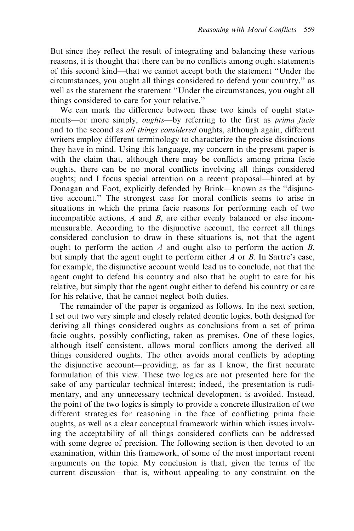But since they reflect the result of integrating and balancing these various reasons, it is thought that there can be no conflicts among ought statements of this second kind—that we cannot accept both the statement ''Under the circumstances, you ought all things considered to defend your country,'' as well as the statement the statement ''Under the circumstances, you ought all things considered to care for your relative.''

We can mark the difference between these two kinds of ought statements—or more simply, oughts—by referring to the first as prima facie and to the second as all things considered oughts, although again, different writers employ different terminology to characterize the precise distinctions they have in mind. Using this language, my concern in the present paper is with the claim that, although there may be conflicts among prima facie oughts, there can be no moral conflicts involving all things considered oughts; and I focus special attention on a recent proposal—hinted at by Donagan and Foot, explicitly defended by Brink—known as the ''disjunctive account.'' The strongest case for moral conflicts seems to arise in situations in which the prima facie reasons for performing each of two incompatible actions,  $A$  and  $B$ , are either evenly balanced or else incommensurable. According to the disjunctive account, the correct all things considered conclusion to draw in these situations is, not that the agent ought to perform the action  $A$  and ought also to perform the action  $B$ , but simply that the agent ought to perform either  $A$  or  $B$ . In Sartre's case, for example, the disjunctive account would lead us to conclude, not that the agent ought to defend his country and also that he ought to care for his relative, but simply that the agent ought either to defend his country or care for his relative, that he cannot neglect both duties.

The remainder of the paper is organized as follows. In the next section, I set out two very simple and closely related deontic logics, both designed for deriving all things considered oughts as conclusions from a set of prima facie oughts, possibly conflicting, taken as premises. One of these logics, although itself consistent, allows moral conflicts among the derived all things considered oughts. The other avoids moral conflicts by adopting the disjunctive account—providing, as far as I know, the first accurate formulation of this view. These two logics are not presented here for the sake of any particular technical interest; indeed, the presentation is rudimentary, and any unnecessary technical development is avoided. Instead, the point of the two logics is simply to provide a concrete illustration of two different strategies for reasoning in the face of conflicting prima facie oughts, as well as a clear conceptual framework within which issues involving the acceptability of all things considered conflicts can be addressed with some degree of precision. The following section is then devoted to an examination, within this framework, of some of the most important recent arguments on the topic. My conclusion is that, given the terms of the current discussion—that is, without appealing to any constraint on the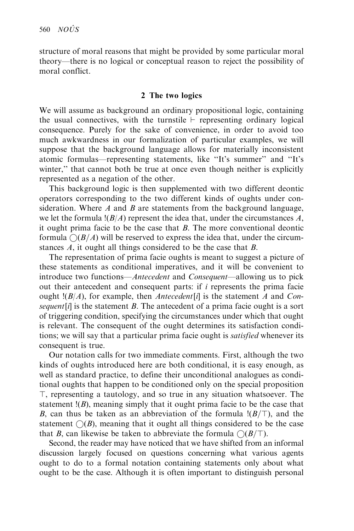structure of moral reasons that might be provided by some particular moral theory—there is no logical or conceptual reason to reject the possibility of moral conflict.

## 2 The two logics

We will assume as background an ordinary propositional logic, containing the usual connectives, with the turnstile  $\vdash$  representing ordinary logical consequence. Purely for the sake of convenience, in order to avoid too much awkwardness in our formalization of particular examples, we will suppose that the background language allows for materially inconsistent atomic formulas—representing statements, like ''It's summer'' and ''It's winter," that cannot both be true at once even though neither is explicitly represented as a negation of the other.

This background logic is then supplemented with two different deontic operators corresponding to the two different kinds of oughts under consideration. Where  $A$  and  $B$  are statements from the background language, we let the formula  $!(B/A)$  represent the idea that, under the circumstances A, it ought prima facie to be the case that  $B$ . The more conventional deontic formula  $\bigcirc (B/A)$  will be reserved to express the idea that, under the circumstances A, it ought all things considered to be the case that B.

The representation of prima facie oughts is meant to suggest a picture of these statements as conditional imperatives, and it will be convenient to introduce two functions—Antecedent and Consequent—allowing us to pick out their antecedent and consequent parts: if i represents the prima facie ought  $!(B/A)$ , for example, then *Antecedent* [i] is the statement *A* and *Con*sequent [i] is the statement B. The antecedent of a prima facie ought is a sort of triggering condition, specifying the circumstances under which that ought is relevant. The consequent of the ought determines its satisfaction conditions; we will say that a particular prima facie ought is satisfied whenever its consequent is true.

Our notation calls for two immediate comments. First, although the two kinds of oughts introduced here are both conditional, it is easy enough, as well as standard practice, to define their unconditional analogues as conditional oughts that happen to be conditioned only on the special proposition  $\top$ , representing a tautology, and so true in any situation whatsoever. The statement  $!(B)$ , meaning simply that it ought prima facie to be the case that B, can thus be taken as an abbreviation of the formula  $!(B/\top)$ , and the statement  $\bigcirc$ (*B*), meaning that it ought all things considered to be the case that B, can likewise be taken to abbreviate the formula  $\bigcirc(B/\top)$ .

Second, the reader may have noticed that we have shifted from an informal discussion largely focused on questions concerning what various agents ought to do to a formal notation containing statements only about what ought to be the case. Although it is often important to distinguish personal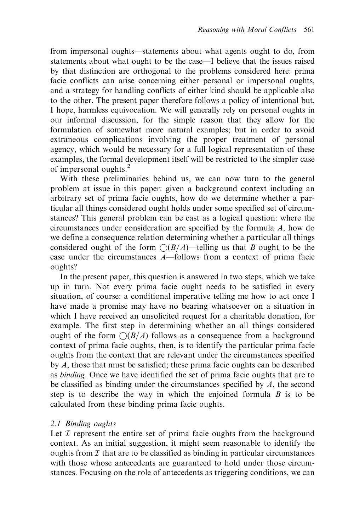from impersonal oughts—statements about what agents ought to do, from statements about what ought to be the case—I believe that the issues raised by that distinction are orthogonal to the problems considered here: prima facie conflicts can arise concerning either personal or impersonal oughts, and a strategy for handling conflicts of either kind should be applicable also to the other. The present paper therefore follows a policy of intentional but, I hope, harmless equivocation. We will generally rely on personal oughts in our informal discussion, for the simple reason that they allow for the formulation of somewhat more natural examples; but in order to avoid extraneous complications involving the proper treatment of personal agency, which would be necessary for a full logical representation of these examples, the formal development itself will be restricted to the simpler case of impersonal oughts. $2^2$ 

With these preliminaries behind us, we can now turn to the general problem at issue in this paper: given a background context including an arbitrary set of prima facie oughts, how do we determine whether a particular all things considered ought holds under some specified set of circumstances? This general problem can be cast as a logical question: where the circumstances under consideration are specified by the formula A, how do we define a consequence relation determining whether a particular all things considered ought of the form  $\bigcirc(B/A)$ —telling us that B ought to be the case under the circumstances A—follows from a context of prima facie oughts?

In the present paper, this question is answered in two steps, which we take up in turn. Not every prima facie ought needs to be satisfied in every situation, of course: a conditional imperative telling me how to act once I have made a promise may have no bearing whatsoever on a situation in which I have received an unsolicited request for a charitable donation, for example. The first step in determining whether an all things considered ought of the form  $\bigcirc (B/A)$  follows as a consequence from a background context of prima facie oughts, then, is to identify the particular prima facie oughts from the context that are relevant under the circumstances specified by A, those that must be satisfied; these prima facie oughts can be described as binding. Once we have identified the set of prima facie oughts that are to be classified as binding under the circumstances specified by  $A$ , the second step is to describe the way in which the enjoined formula  $B$  is to be calculated from these binding prima facie oughts.

# 2.1 Binding oughts

Let  $I$  represent the entire set of prima facie oughts from the background context. As an initial suggestion, it might seem reasonable to identify the oughts from  $\mathcal I$  that are to be classified as binding in particular circumstances with those whose antecedents are guaranteed to hold under those circumstances. Focusing on the role of antecedents as triggering conditions, we can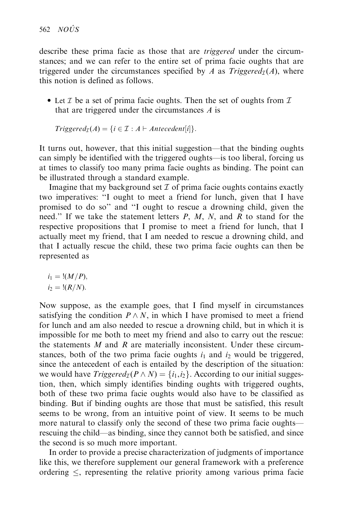describe these prima facie as those that are triggered under the circumstances; and we can refer to the entire set of prima facie oughts that are triggered under the circumstances specified by A as  $Triggered<sub>T</sub>(A)$ , where this notion is defined as follows.

• Let  $I$  be a set of prima facie oughts. Then the set of oughts from  $I$ that are triggered under the circumstances  $A$  is

 $Triggered_{\mathcal{I}}(A) = \{i \in \mathcal{I} : A \vdash Antecedent[i]\}.$ 

It turns out, however, that this initial suggestion—that the binding oughts can simply be identified with the triggered oughts—is too liberal, forcing us at times to classify too many prima facie oughts as binding. The point can be illustrated through a standard example.

Imagine that my background set  $I$  of prima facie oughts contains exactly two imperatives: ''I ought to meet a friend for lunch, given that I have promised to do so'' and ''I ought to rescue a drowning child, given the need." If we take the statement letters  $P, M, N$ , and R to stand for the respective propositions that I promise to meet a friend for lunch, that I actually meet my friend, that I am needed to rescue a drowning child, and that I actually rescue the child, these two prima facie oughts can then be represented as

 $i_1 = !(M/P),$  $i_2 = \frac{1}{R/N}.$ 

Now suppose, as the example goes, that I find myself in circumstances satisfying the condition  $P \wedge N$ , in which I have promised to meet a friend for lunch and am also needed to rescue a drowning child, but in which it is impossible for me both to meet my friend and also to carry out the rescue: the statements  $M$  and  $R$  are materially inconsistent. Under these circumstances, both of the two prima facie oughts  $i_1$  and  $i_2$  would be triggered, since the antecedent of each is entailed by the description of the situation: we would have  $Triggered_T(P \wedge N) = \{i_1, i_2\}$ . According to our initial suggestion, then, which simply identifies binding oughts with triggered oughts, both of these two prima facie oughts would also have to be classified as binding. But if binding oughts are those that must be satisfied, this result seems to be wrong, from an intuitive point of view. It seems to be much more natural to classify only the second of these two prima facie oughts rescuing the child—as binding, since they cannot both be satisfied, and since the second is so much more important.

In order to provide a precise characterization of judgments of importance like this, we therefore supplement our general framework with a preference ordering  $\leq$ , representing the relative priority among various prima facie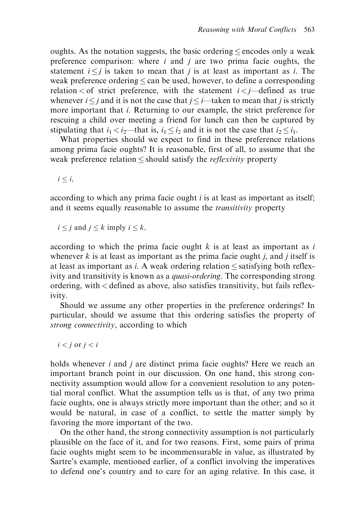oughts. As the notation suggests, the basic ordering  $\leq$  encodes only a weak preference comparison: where  $i$  and  $j$  are two prima facie oughts, the statement  $i \leq j$  is taken to mean that j is at least as important as i. The weak preference ordering  $\leq$  can be used, however, to define a corresponding relation  $\lt$  of strict preference, with the statement  $i \lt j$ —defined as true whenever  $i \leq j$  and it is not the case that  $j \leq i$ —taken to mean that j is strictly more important that i. Returning to our example, the strict preference for rescuing a child over meeting a friend for lunch can then be captured by stipulating that  $i_1 < i_2$ —that is,  $i_1 \leq i_2$  and it is not the case that  $i_2 \leq i_1$ .

What properties should we expect to find in these preference relations among prima facie oughts? It is reasonable, first of all, to assume that the weak preference relation  $\leq$  should satisfy the *reflexivity* property

 $i \leq i$ ,

according to which any prima facie ought  $i$  is at least as important as itself; and it seems equally reasonable to assume the transitivity property

 $i \leq j$  and  $j \leq k$  imply  $i \leq k$ ,

according to which the prima facie ought  $k$  is at least as important as i whenever  $k$  is at least as important as the prima facie ought  $j$ , and  $j$  itself is at least as important as *i*. A weak ordering relation  $\leq$  satisfying both reflexivity and transitivity is known as a *quasi-ordering*. The corresponding strong ordering, with < defined as above, also satisfies transitivity, but fails reflexivity.

Should we assume any other properties in the preference orderings? In particular, should we assume that this ordering satisfies the property of strong connectivity, according to which

 $i < j$  or  $j < i$ 

holds whenever  $i$  and  $j$  are distinct prima facie oughts? Here we reach an important branch point in our discussion. On one hand, this strong connectivity assumption would allow for a convenient resolution to any potential moral conflict. What the assumption tells us is that, of any two prima facie oughts, one is always strictly more important than the other; and so it would be natural, in case of a conflict, to settle the matter simply by favoring the more important of the two.

On the other hand, the strong connectivity assumption is not particularly plausible on the face of it, and for two reasons. First, some pairs of prima facie oughts might seem to be incommensurable in value, as illustrated by Sartre's example, mentioned earlier, of a conflict involving the imperatives to defend one's country and to care for an aging relative. In this case, it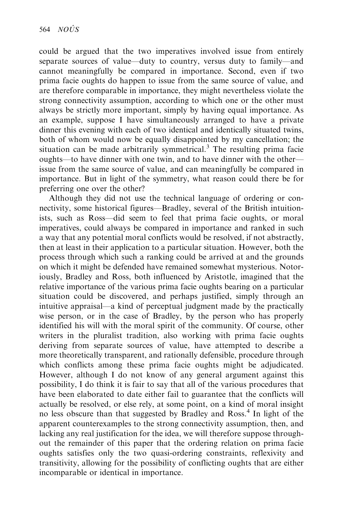could be argued that the two imperatives involved issue from entirely separate sources of value—duty to country, versus duty to family—and cannot meaningfully be compared in importance. Second, even if two prima facie oughts do happen to issue from the same source of value, and are therefore comparable in importance, they might nevertheless violate the strong connectivity assumption, according to which one or the other must always be strictly more important, simply by having equal importance. As an example, suppose I have simultaneously arranged to have a private dinner this evening with each of two identical and identically situated twins, both of whom would now be equally disappointed by my cancellation; the situation can be made arbitrarily symmetrical.<sup>3</sup> The resulting prima facie oughts—to have dinner with one twin, and to have dinner with the other issue from the same source of value, and can meaningfully be compared in importance. But in light of the symmetry, what reason could there be for preferring one over the other?

Although they did not use the technical language of ordering or connectivity, some historical figures—Bradley, several of the British intuitionists, such as Ross—did seem to feel that prima facie oughts, or moral imperatives, could always be compared in importance and ranked in such a way that any potential moral conflicts would be resolved, if not abstractly, then at least in their application to a particular situation. However, both the process through which such a ranking could be arrived at and the grounds on which it might be defended have remained somewhat mysterious. Notoriously, Bradley and Ross, both influenced by Aristotle, imagined that the relative importance of the various prima facie oughts bearing on a particular situation could be discovered, and perhaps justified, simply through an intuitive appraisal—a kind of perceptual judgment made by the practically wise person, or in the case of Bradley, by the person who has properly identified his will with the moral spirit of the community. Of course, other writers in the pluralist tradition, also working with prima facie oughts deriving from separate sources of value, have attempted to describe a more theoretically transparent, and rationally defensible, procedure through which conflicts among these prima facie oughts might be adjudicated. However, although I do not know of any general argument against this possibility, I do think it is fair to say that all of the various procedures that have been elaborated to date either fail to guarantee that the conflicts will actually be resolved, or else rely, at some point, on a kind of moral insight no less obscure than that suggested by Bradley and Ross.<sup>4</sup> In light of the apparent counterexamples to the strong connectivity assumption, then, and lacking any real justification for the idea, we will therefore suppose throughout the remainder of this paper that the ordering relation on prima facie oughts satisfies only the two quasi-ordering constraints, reflexivity and transitivity, allowing for the possibility of conflicting oughts that are either incomparable or identical in importance.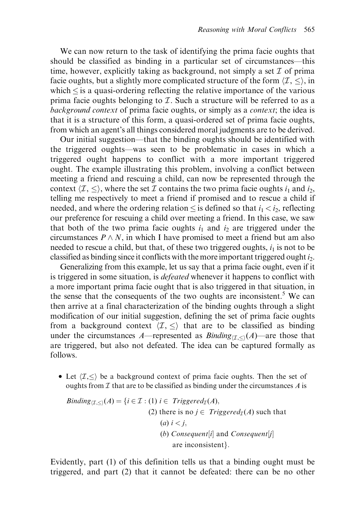We can now return to the task of identifying the prima facie oughts that should be classified as binding in a particular set of circumstances—this time, however, explicitly taking as background, not simply a set  $\mathcal I$  of prima facie oughts, but a slightly more complicated structure of the form  $\langle \mathcal{I}, \langle \cdot \rangle$ , in which  $\leq$  is a quasi-ordering reflecting the relative importance of the various prima facie oughts belonging to  $\mathcal I$ . Such a structure will be referred to as a background context of prima facie oughts, or simply as a context; the idea is that it is a structure of this form, a quasi-ordered set of prima facie oughts, from which an agent's all things considered moral judgments are to be derived.

Our initial suggestion—that the binding oughts should be identified with the triggered oughts—was seen to be problematic in cases in which a triggered ought happens to conflict with a more important triggered ought. The example illustrating this problem, involving a conflict between meeting a friend and rescuing a child, can now be represented through the context  $\langle \mathcal{I}, \leq \rangle$ , where the set  $\mathcal I$  contains the two prima facie oughts  $i_1$  and  $i_2$ , telling me respectively to meet a friend if promised and to rescue a child if needed, and where the ordering relation  $\leq$  is defined so that  $i_1 < i_2$ , reflecting our preference for rescuing a child over meeting a friend. In this case, we saw that both of the two prima facie oughts  $i_1$  and  $i_2$  are triggered under the circumstances  $P \wedge N$ , in which I have promised to meet a friend but am also needed to rescue a child, but that, of these two triggered oughts,  $i_1$  is not to be classified as binding since it conflicts with the more important triggered ought  $i_2$ .

Generalizing from this example, let us say that a prima facie ought, even if it is triggered in some situation, is *defeated* whenever it happens to conflict with a more important prima facie ought that is also triggered in that situation, in the sense that the consequents of the two oughts are inconsistent.<sup>5</sup> We can then arrive at a final characterization of the binding oughts through a slight modification of our initial suggestion, defining the set of prima facie oughts from a background context  $\langle \mathcal{I}, \leq \rangle$  that are to be classified as binding under the circumstances A—represented as  $\mathit{Binding}_{\langle \mathcal{I}, \leq \rangle}(A)$ —are those that are triggered, but also not defeated. The idea can be captured formally as follows.

• Let  $\langle \mathcal{I}, \leq \rangle$  be a background context of prima facie oughts. Then the set of oughts from  $\mathcal I$  that are to be classified as binding under the circumstances  $A$  is

\n
$$
\text{Binding}_{\langle \mathcal{I}, \leq \rangle}(A) = \{i \in \mathcal{I} : (1) \, i \in \text{Triggered}_{\mathcal{I}}(A),
$$
\n

\n\n (2) there is no  $j \in \text{Triggered}_{\mathcal{I}}(A)$  such that\n

\n\n (a)  $i < j,$ \n

\n\n (b) Consequently[i] and Consequently[j] are inconsistent.\n

Evidently, part (1) of this definition tells us that a binding ought must be triggered, and part (2) that it cannot be defeated: there can be no other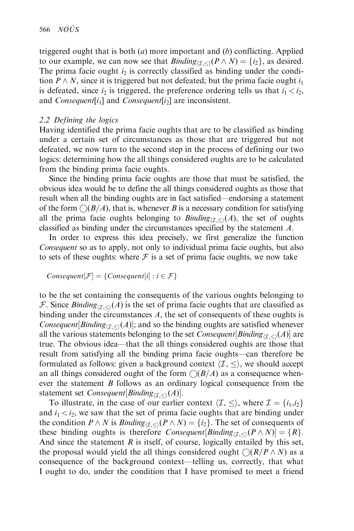triggered ought that is both  $(a)$  more important and  $(b)$  conflicting. Applied to our example, we can now see that  $\mathit{Binding}_{\langle \mathcal{I}, \leq \rangle}(P \wedge N) = \{i_2\}$ , as desired. The prima facie ought  $i_2$  is correctly classified as binding under the condition  $P \wedge N$ , since it is triggered but not defeated; but the prima facie ought  $i_1$ is defeated, since  $i_2$  is triggered, the preference ordering tells us that  $i_1 < i_2$ , and *Consequent*[ $i_1$ ] and *Consequent*[ $i_2$ ] are inconsistent.

# 2.2 Defining the logics

Having identified the prima facie oughts that are to be classified as binding under a certain set of circumstances as those that are triggered but not defeated, we now turn to the second step in the process of defining our two logics: determining how the all things considered oughts are to be calculated from the binding prima facie oughts.

Since the binding prima facie oughts are those that must be satisfied, the obvious idea would be to define the all things considered oughts as those that result when all the binding oughts are in fact satisfied—endorsing a statement of the form  $\bigcirc (B/A)$ , that is, whenever B is a necessary condition for satisfying all the prima facie oughts belonging to *Binding*<sub> $(I,\leq)$ </sub> $(A)$ , the set of oughts classified as binding under the circumstances specified by the statement A.

In order to express this idea precisely, we first generalize the function Consequent so as to apply, not only to individual prima facie oughts, but also to sets of these oughts: where  $\mathcal F$  is a set of prima facie oughts, we now take

 $Consequent[\mathcal{F}] = \{Consequent[i] : i \in \mathcal{F}\}\$ 

to be the set containing the consequents of the various oughts belonging to F. Since Binding  $(L<sub>\leq</sub>)$  is the set of prima facie oughts that are classified as binding under the circumstances  $A$ , the set of consequents of these oughts is Consequent  $\left[Binding_{\langle \mathcal{T} \prec \rangle}(A)\right]$ ; and so the binding oughts are satisfied whenever all the various statements belonging to the set *Consequent* [*Binding*<sub> $(I,\leq)$ </sub> $(A)$ ] are true. The obvious idea—that the all things considered oughts are those that result from satisfying all the binding prima facie oughts—can therefore be formulated as follows: given a background context  $\langle \mathcal{I}, \leq \rangle$ , we should accept an all things considered ought of the form  $\bigcirc(B/A)$  as a consequence whenever the statement B follows as an ordinary logical consequence from the statement set *Consequent*[*Binding*<sub> $\langle \tau \rangle \langle A \rangle$ ].</sub>

To illustrate, in the case of our earlier context  $\langle \mathcal{I}, \leq \rangle$ , where  $\mathcal{I} = \{i_1, i_2\}$ and  $i_1 < i_2$ , we saw that the set of prima facie oughts that are binding under the condition  $P \wedge N$  is *Binding*<sub> $(I, \leq)(P \wedge N) = \{i_2\}$ . The set of consequents of</sub> these binding oughts is therefore *Consequent* [*Binding*<sub> $(I \leq \{P \land N\}$ ] = {*R*}.</sub> And since the statement  $R$  is itself, of course, logically entailed by this set, the proposal would yield the all things considered ought  $\bigcirc (R/P \wedge N)$  as a consequence of the background context—telling us, correctly, that what I ought to do, under the condition that I have promised to meet a friend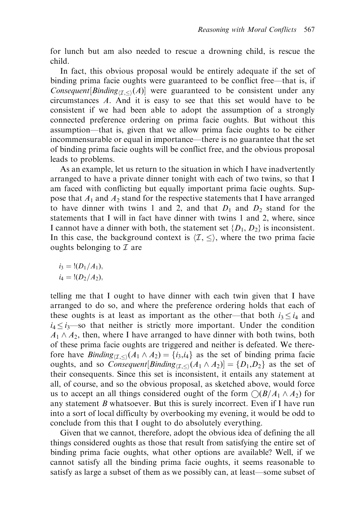for lunch but am also needed to rescue a drowning child, is rescue the child.

In fact, this obvious proposal would be entirely adequate if the set of binding prima facie oughts were guaranteed to be conflict free—that is, if Consequent [Binding<sub> $(I,\leq)$ </sub> were guaranteed to be consistent under any circumstances A. And it is easy to see that this set would have to be consistent if we had been able to adopt the assumption of a strongly connected preference ordering on prima facie oughts. But without this assumption—that is, given that we allow prima facie oughts to be either incommensurable or equal in importance—there is no guarantee that the set of binding prima facie oughts will be conflict free, and the obvious proposal leads to problems.

As an example, let us return to the situation in which I have inadvertently arranged to have a private dinner tonight with each of two twins, so that I am faced with conflicting but equally important prima facie oughts. Suppose that  $A_1$  and  $A_2$  stand for the respective statements that I have arranged to have dinner with twins 1 and 2, and that  $D_1$  and  $D_2$  stand for the statements that I will in fact have dinner with twins 1 and 2, where, since I cannot have a dinner with both, the statement set  $\{D_1, D_2\}$  is inconsistent. In this case, the background context is  $\langle \mathcal{I}, \leq \rangle$ , where the two prima facie oughts belonging to  $\mathcal I$  are

$$
i_3 = \frac{!(D_1/A_1)}{4}
$$
  

$$
i_4 = \frac{!(D_2/A_2)}{4}
$$

telling me that I ought to have dinner with each twin given that I have arranged to do so, and where the preference ordering holds that each of these oughts is at least as important as the other—that both  $i_3 \leq i_4$  and  $i_4 \leq i_3$  so that neither is strictly more important. Under the condition  $A_1 \wedge A_2$ , then, where I have arranged to have dinner with both twins, both of these prima facie oughts are triggered and neither is defeated. We therefore have Binding $\mathcal{I}_{\mathcal{I}} \leq (A_1 \wedge A_2) = \{i_3, i_4\}$  as the set of binding prima facie oughts, and so *Consequent*[*Binding*<sub> $(I,\leq)$ </sub> $(A_1 \wedge A_2)$ ] = { $D_1,D_2$ } as the set of their consequents. Since this set is inconsistent, it entails any statement at all, of course, and so the obvious proposal, as sketched above, would force us to accept an all things considered ought of the form  $\bigcirc (B/A_1 \wedge A_2)$  for any statement  $B$  whatsoever. But this is surely incorrect. Even if I have run into a sort of local difficulty by overbooking my evening, it would be odd to conclude from this that I ought to do absolutely everything.

Given that we cannot, therefore, adopt the obvious idea of defining the all things considered oughts as those that result from satisfying the entire set of binding prima facie oughts, what other options are available? Well, if we cannot satisfy all the binding prima facie oughts, it seems reasonable to satisfy as large a subset of them as we possibly can, at least—some subset of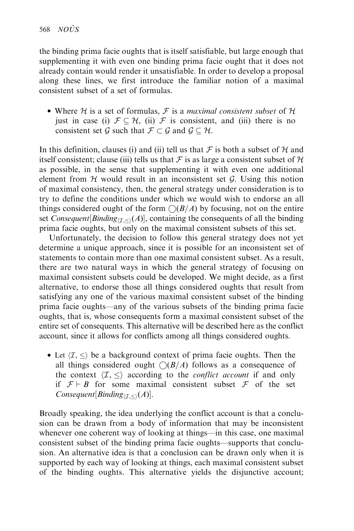the binding prima facie oughts that is itself satisfiable, but large enough that supplementing it with even one binding prima facie ought that it does not already contain would render it unsatisfiable. In order to develop a proposal along these lines, we first introduce the familiar notion of a maximal consistent subset of a set of formulas.

• Where H is a set of formulas, F is a maximal consistent subset of H just in case (i)  $\mathcal{F} \subseteq \mathcal{H}$ , (ii)  $\mathcal{F}$  is consistent, and (iii) there is no consistent set G such that  $\mathcal{F} \subset \mathcal{G}$  and  $\mathcal{G} \subset \mathcal{H}$ .

In this definition, clauses (i) and (ii) tell us that F is both a subset of H and itself consistent; clause (iii) tells us that  $\mathcal F$  is as large a consistent subset of  $\mathcal H$ as possible, in the sense that supplementing it with even one additional element from  $H$  would result in an inconsistent set  $G$ . Using this notion of maximal consistency, then, the general strategy under consideration is to try to define the conditions under which we would wish to endorse an all things considered ought of the form  $\bigcirc (B/A)$  by focusing, not on the entire set Consequent [Binding  $\mathcal{I}_{\mathcal{I},\leq\setminus\{A\}}$ ], containing the consequents of all the binding prima facie oughts, but only on the maximal consistent subsets of this set.

Unfortunately, the decision to follow this general strategy does not yet determine a unique approach, since it is possible for an inconsistent set of statements to contain more than one maximal consistent subset. As a result, there are two natural ways in which the general strategy of focusing on maximal consistent subsets could be developed. We might decide, as a first alternative, to endorse those all things considered oughts that result from satisfying any one of the various maximal consistent subset of the binding prima facie oughts—any of the various subsets of the binding prima facie oughts, that is, whose consequents form a maximal consistent subset of the entire set of consequents. This alternative will be described here as the conflict account, since it allows for conflicts among all things considered oughts.

• Let  $\langle \mathcal{I}, \langle \rangle$  be a background context of prima facie oughts. Then the all things considered ought  $\bigcirc$ (B/A) follows as a consequence of the context  $\langle \mathcal{I}, \langle \rangle$  according to the *conflict account* if and only if  $F \vdash B$  for some maximal consistent subset F of the set Consequent [Binding $\mathcal{L}_{\mathcal{I},\leq\mathcal{I}}(A)$ ].

Broadly speaking, the idea underlying the conflict account is that a conclusion can be drawn from a body of information that may be inconsistent whenever one coherent way of looking at things—in this case, one maximal consistent subset of the binding prima facie oughts—supports that conclusion. An alternative idea is that a conclusion can be drawn only when it is supported by each way of looking at things, each maximal consistent subset of the binding oughts. This alternative yields the disjunctive account;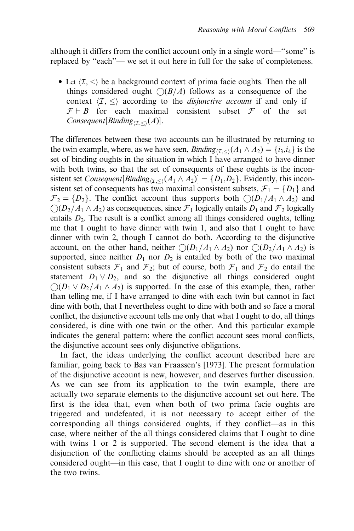although it differs from the conflict account only in a single word—''some'' is replaced by ''each''— we set it out here in full for the sake of completeness.

• Let  $\langle \mathcal{I}, \langle \rangle$  be a background context of prima facie oughts. Then the all things considered ought  $O(B/A)$  follows as a consequence of the context  $\langle \mathcal{I}, \langle \rangle$  according to the *disjunctive account* if and only if  $F \vdash B$  for each maximal consistent subset F of the set Consequent [Binding $_{\langle \mathcal{I}, \prec \rangle}(A)$ ].

The differences between these two accounts can be illustrated by returning to the twin example, where, as we have seen, *Binding*  $\tau \leq (A_1 \wedge A_2) = \{i_3, i_4\}$  is the set of binding oughts in the situation in which I have arranged to have dinner with both twins, so that the set of consequents of these oughts is the inconsistent set *Consequent* [*Binding*<sub> $(I,\langle A_1 \wedge A_2 \rangle) = \{D_1,D_2\}$ . Evidently, this incon-</sub> sistent set of consequents has two maximal consistent subsets,  $\mathcal{F}_1 = \{D_1\}$  and  $\mathcal{F}_2 = \{D_2\}$ . The conflict account thus supports both  $\bigcirc (D_1/A_1 \wedge A_2)$  and  $\bigcirc (D_2/A_1 \wedge A_2)$  as consequences, since  $\mathcal{F}_1$  logically entails  $D_1$  and  $\mathcal{F}_2$  logically entails  $D_2$ . The result is a conflict among all things considered oughts, telling me that I ought to have dinner with twin 1, and also that I ought to have dinner with twin 2, though I cannot do both. According to the disjunctive account, on the other hand, neither  $\bigcirc (D_1/A_1 \wedge A_2)$  nor  $\bigcirc (D_2/A_1 \wedge A_2)$  is supported, since neither  $D_1$  nor  $D_2$  is entailed by both of the two maximal consistent subsets  $\mathcal{F}_1$  and  $\mathcal{F}_2$ ; but of course, both  $\mathcal{F}_1$  and  $\mathcal{F}_2$  do entail the statement  $D_1 \vee D_2$ , and so the disjunctive all things considered ought  $\bigcirc (D_1 \vee D_2/A_1 \wedge A_2)$  is supported. In the case of this example, then, rather than telling me, if I have arranged to dine with each twin but cannot in fact dine with both, that I nevertheless ought to dine with both and so face a moral conflict, the disjunctive account tells me only that what I ought to do, all things considered, is dine with one twin or the other. And this particular example indicates the general pattern: where the conflict account sees moral conflicts, the disjunctive account sees only disjunctive obligations.

In fact, the ideas underlying the conflict account described here are familiar, going back to Bas van Fraassen's [1973]. The present formulation of the disjunctive account is new, however, and deserves further discussion. As we can see from its application to the twin example, there are actually two separate elements to the disjunctive account set out here. The first is the idea that, even when both of two prima facie oughts are triggered and undefeated, it is not necessary to accept either of the corresponding all things considered oughts, if they conflict—as in this case, where neither of the all things considered claims that I ought to dine with twins 1 or 2 is supported. The second element is the idea that a disjunction of the conflicting claims should be accepted as an all things considered ought—in this case, that I ought to dine with one or another of the two twins.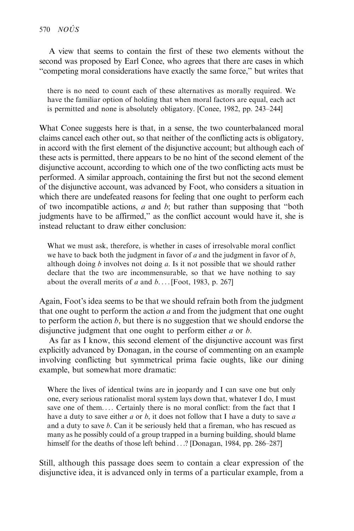A view that seems to contain the first of these two elements without the second was proposed by Earl Conee, who agrees that there are cases in which ''competing moral considerations have exactly the same force,'' but writes that

there is no need to count each of these alternatives as morally required. We have the familiar option of holding that when moral factors are equal, each act is permitted and none is absolutely obligatory. [Conee, 1982, pp. 243–244]

What Conee suggests here is that, in a sense, the two counterbalanced moral claims cancel each other out, so that neither of the conflicting acts is obligatory, in accord with the first element of the disjunctive account; but although each of these acts is permitted, there appears to be no hint of the second element of the disjunctive account, according to which one of the two conflicting acts must be performed. A similar approach, containing the first but not the second element of the disjunctive account, was advanced by Foot, who considers a situation in which there are undefeated reasons for feeling that one ought to perform each of two incompatible actions,  $a$  and  $b$ ; but rather than supposing that "both judgments have to be affirmed,'' as the conflict account would have it, she is instead reluctant to draw either conclusion:

What we must ask, therefore, is whether in cases of irresolvable moral conflict we have to back both the judgment in favor of  $a$  and the judgment in favor of  $b$ , although doing b involves not doing a. Is it not possible that we should rather declare that the two are incommensurable, so that we have nothing to say about the overall merits of a and  $b$ .... [Foot, 1983, p. 267]

Again, Foot's idea seems to be that we should refrain both from the judgment that one ought to perform the action  $a$  and from the judgment that one ought to perform the action  $b$ , but there is no suggestion that we should endorse the disjunctive judgment that one ought to perform either *a* or *b*.

As far as I know, this second element of the disjunctive account was first explicitly advanced by Donagan, in the course of commenting on an example involving conflicting but symmetrical prima facie oughts, like our dining example, but somewhat more dramatic:

Where the lives of identical twins are in jeopardy and I can save one but only one, every serious rationalist moral system lays down that, whatever I do, I must save one of them. ... Certainly there is no moral conflict: from the fact that I have a duty to save either  $a$  or  $b$ , it does not follow that I have a duty to save  $a$ and a duty to save  $b$ . Can it be seriously held that a fireman, who has rescued as many as he possibly could of a group trapped in a burning building, should blame himself for the deaths of those left behind ...? [Donagan, 1984, pp. 286–287]

Still, although this passage does seem to contain a clear expression of the disjunctive idea, it is advanced only in terms of a particular example, from a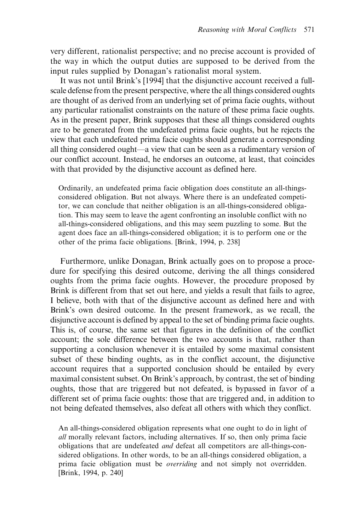very different, rationalist perspective; and no precise account is provided of the way in which the output duties are supposed to be derived from the input rules supplied by Donagan's rationalist moral system.

It was not until Brink's [1994] that the disjunctive account received a fullscale defense from the present perspective, where the all things considered oughts are thought of as derived from an underlying set of prima facie oughts, without any particular rationalist constraints on the nature of these prima facie oughts. As in the present paper, Brink supposes that these all things considered oughts are to be generated from the undefeated prima facie oughts, but he rejects the view that each undefeated prima facie oughts should generate a corresponding all thing considered ought—a view that can be seen as a rudimentary version of our conflict account. Instead, he endorses an outcome, at least, that coincides with that provided by the disjunctive account as defined here.

Ordinarily, an undefeated prima facie obligation does constitute an all-thingsconsidered obligation. But not always. Where there is an undefeated competitor, we can conclude that neither obligation is an all-things-considered obligation. This may seem to leave the agent confronting an insoluble conflict with no all-things-considered obligations, and this may seem puzzling to some. But the agent does face an all-things-considered obligation; it is to perform one or the other of the prima facie obligations. [Brink, 1994, p. 238]

Furthermore, unlike Donagan, Brink actually goes on to propose a procedure for specifying this desired outcome, deriving the all things considered oughts from the prima facie oughts. However, the procedure proposed by Brink is different from that set out here, and yields a result that fails to agree, I believe, both with that of the disjunctive account as defined here and with Brink's own desired outcome. In the present framework, as we recall, the disjunctive account is defined by appeal to the set of binding prima facie oughts. This is, of course, the same set that figures in the definition of the conflict account; the sole difference between the two accounts is that, rather than supporting a conclusion whenever it is entailed by some maximal consistent subset of these binding oughts, as in the conflict account, the disjunctive account requires that a supported conclusion should be entailed by every maximal consistent subset. On Brink's approach, by contrast, the set of binding oughts, those that are triggered but not defeated, is bypassed in favor of a different set of prima facie oughts: those that are triggered and, in addition to not being defeated themselves, also defeat all others with which they conflict.

An all-things-considered obligation represents what one ought to do in light of all morally relevant factors, including alternatives. If so, then only prima facie obligations that are undefeated and defeat all competitors are all-things-considered obligations. In other words, to be an all-things considered obligation, a prima facie obligation must be overriding and not simply not overridden. [Brink, 1994, p. 240]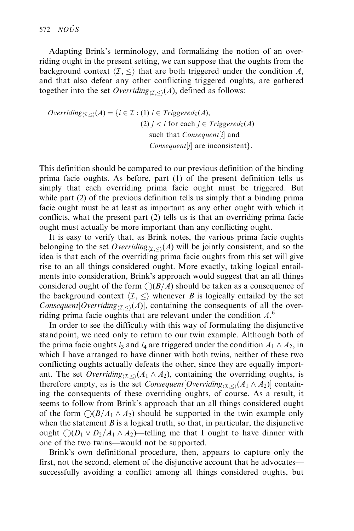Adapting Brink's terminology, and formalizing the notion of an overriding ought in the present setting, we can suppose that the oughts from the background context  $\langle \mathcal{I}, \leq \rangle$  that are both triggered under the condition A, and that also defeat any other conflicting triggered oughts, are gathered together into the set Overriding  $\mathcal{I}_{\mathcal{I},\leq}(A)$ , defined as follows:

*Overriding*<sub> $\{I, \leq \}$ </sub> $(A) = \{i \in \mathcal{I} : (1)$   $i \in Triggered_{\mathcal{I}}(A),\}$ (2)  $j < i$  for each  $j \in Triggered_{\mathcal{T}}(A)$ such that *Consequent*[i] and Consequent[j] are inconsistent $\}$ .

This definition should be compared to our previous definition of the binding prima facie oughts. As before, part (1) of the present definition tells us simply that each overriding prima facie ought must be triggered. But while part (2) of the previous definition tells us simply that a binding prima facie ought must be at least as important as any other ought with which it conflicts, what the present part (2) tells us is that an overriding prima facie ought must actually be more important than any conflicting ought.

It is easy to verify that, as Brink notes, the various prima facie oughts belonging to the set Overriding  $\mathcal{L}_{\mathcal{L}}(A)$  will be jointly consistent, and so the idea is that each of the overriding prima facie oughts from this set will give rise to an all things considered ought. More exactly, taking logical entailments into consideration, Brink's approach would suggest that an all things considered ought of the form  $\bigcirc(B/A)$  should be taken as a consequence of the background context  $\langle \mathcal{I}, \leq \rangle$  whenever B is logically entailed by the set Consequent [Overriding  $\tau \leq (A)$ ], containing the consequents of all the overriding prima facie oughts that are relevant under the condition  $A^6$ .

In order to see the difficulty with this way of formulating the disjunctive standpoint, we need only to return to our twin example. Although both of the prima facie oughts i<sub>3</sub> and i<sub>4</sub> are triggered under the condition  $A_1 \wedge A_2$ , in which I have arranged to have dinner with both twins, neither of these two conflicting oughts actually defeats the other, since they are equally important. The set Overriding  $\mathcal{I}_{\mathcal{I}}(\mathcal{A}_1 \wedge \mathcal{A}_2)$ , containing the overriding oughts, is therefore empty, as is the set *Consequent* [*Overriding*<sub> $(I,\leq)$ </sub> $(A_1 \wedge A_2)$ ] containing the consequents of these overriding oughts, of course. As a result, it seems to follow from Brink's approach that an all things considered ought of the form  $\bigcirc (B/A_1 \wedge A_2)$  should be supported in the twin example only when the statement  $B$  is a logical truth, so that, in particular, the disjunctive ought  $\bigcirc (D_1 \vee D_2/A_1 \wedge A_2)$ —telling me that I ought to have dinner with one of the two twins—would not be supported.

Brink's own definitional procedure, then, appears to capture only the first, not the second, element of the disjunctive account that he advocates successfully avoiding a conflict among all things considered oughts, but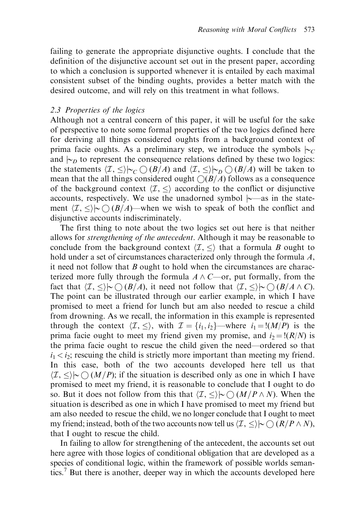failing to generate the appropriate disjunctive oughts. I conclude that the definition of the disjunctive account set out in the present paper, according to which a conclusion is supported whenever it is entailed by each maximal consistent subset of the binding oughts, provides a better match with the desired outcome, and will rely on this treatment in what follows.

## 2.3 Properties of the logics

Although not a central concern of this paper, it will be useful for the sake of perspective to note some formal properties of the two logics defined here for deriving all things considered oughts from a background context of prima facie oughts. As a preliminary step, we introduce the symbols  $\mid C$ and  $\sim_D$  to represent the consequence relations defined by these two logics: the statements  $\langle \mathcal{I}, \leq \rangle \sim_C \bigcirc (B/A)$  and  $\langle \mathcal{I}, \leq \rangle \sim_D \bigcirc (B/A)$  will be taken to mean that the all things considered ought  $\bigcirc(B/A)$  follows as a consequence of the background context  $\langle \mathcal{I}, \leq \rangle$  according to the conflict or disjunctive accounts, respectively. We use the unadorned symbol  $\sim$  —as in the statement  $\langle \mathcal{I}, \leq \rangle$   $\sim$   $\bigcirc$  (*B/A*)—when we wish to speak of both the conflict and disjunctive accounts indiscriminately.

The first thing to note about the two logics set out here is that neither allows for strengthening of the antecedent. Although it may be reasonable to conclude from the background context  $\langle \mathcal{I}, \leq \rangle$  that a formula B ought to hold under a set of circumstances characterized only through the formula A, it need not follow that  $B$  ought to hold when the circumstances are characterized more fully through the formula  $A \wedge C$ —or, put formally, from the fact that  $\langle \mathcal{I}, \leq \rangle \sim \bigcirc (B/A)$ , it need not follow that  $\langle \mathcal{I}, \leq \rangle \sim \bigcirc (B/A \wedge C)$ . The point can be illustrated through our earlier example, in which I have promised to meet a friend for lunchbut am also needed to rescue a child from drowning. As we recall, the information in this example is represented through the context  $\langle \mathcal{I}, \leq \rangle$ , with  $\mathcal{I} = \{i_1, i_2\}$ —where  $i_1 = !(M/P)$  is the prima facie ought to meet my friend given my promise, and  $i_2 = \frac{I(R/N)}{N}$  is the prima facie ought to rescue the child given the need—ordered so that  $i_1 < i_2$ ; rescuing the child is strictly more important than meeting my friend. In this case, both of the two accounts developed here tell us that  $\langle \mathcal{I}, \leq \rangle$   $\sim$   $\bigcirc$   $(M/P)$ ; if the situation is described only as one in which I have promised to meet my friend, it is reasonable to conclude that I ought to do so. But it does not follow from this that  $\langle \mathcal{I}, \leq \rangle \sim \bigcirc (M/P \wedge N)$ . When the situation is described as one in which I have promised to meet my friend but am also needed to rescue the child, we no longer conclude that I ought to meet my friend; instead, both of the two accounts now tell us  $\langle \mathcal{I}, \leq \rangle \sim \bigcirc (R/P \wedge N),$ that I ought to rescue the child.

In failing to allow for strengthening of the antecedent, the accounts set out here agree with those logics of conditional obligation that are developed as a species of conditional logic, within the framework of possible worlds semantics.<sup>7</sup> But there is another, deeper way in which the accounts developed here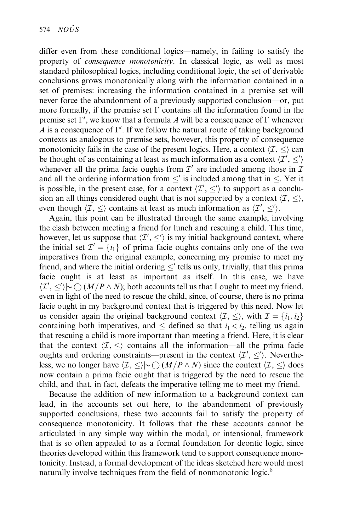differ even from these conditional logics—namely, in failing to satisfy the property of consequence monotonicity. In classical logic, as well as most standard philosophical logics, including conditional logic, the set of derivable conclusions grows monotonically along with the information contained in a set of premises: increasing the information contained in a premise set will never force the abandonment of a previously supported conclusion—or, put more formally, if the premise set  $\Gamma$  contains all the information found in the premise set  $\Gamma'$ , we know that a formula A will be a consequence of  $\Gamma$  whenever  $A$  is a consequence of  $\Gamma'$ . If we follow the natural route of taking background contexts as analogous to premise sets, however, this property of consequence monotonicity fails in the case of the present logics. Here, a context  $\langle \mathcal{I}, \leq \rangle$  can be thought of as containing at least as much information as a context  $\langle \mathcal{I}', \leq' \rangle$ whenever all the prima facie oughts from  $\mathcal{I}'$  are included among those in  $\mathcal{I}$ and all the ordering information from  $\leq'$  is included among that in  $\leq$ . Yet it is possible, in the present case, for a context  $\langle \mathcal{I}', \leq' \rangle$  to support as a conclusion an all things considered ought that is not supported by a context  $\langle \mathcal{I}, \leq \rangle$ , even though  $\langle \mathcal{I}, \leq \rangle$  contains at least as much information as  $\langle \mathcal{I}', \leq' \rangle$ .

Again, this point can be illustrated through the same example, involving the clash between meeting a friend for lunch and rescuing a child. This time, however, let us suppose that  $\langle \mathcal{I}', \leq' \rangle$  is my initial background context, where the initial set  $\mathcal{I}' = \{i_1\}$  of prima facie oughts contains only one of the two imperatives from the original example, concerning my promise to meet my friend, and where the initial ordering  $\leq'$  tells us only, trivially, that this prima facie ought is at least as important as itself. In this case, we have  $\langle \mathcal{I}', \leq' \rangle$   $\sim \bigcirc (M/P \wedge N)$ ; both accounts tell us that I ought to meet my friend, even in light of the need to rescue the child, since, of course, there is no prima facie ought in my background context that is triggered by this need. Now let us consider again the original background context  $\langle \mathcal{I}, \leq \rangle$ , with  $\mathcal{I} = \{i_1, i_2\}$ containing both imperatives, and  $\leq$  defined so that  $i_1 < i_2$ , telling us again that rescuing a child is more important than meeting a friend. Here, it is clear that the context  $\langle \mathcal{I}, \leq \rangle$  contains all the information—all the prima facie oughts and ordering constraints—present in the context  $\langle \mathcal{I}', \leq' \rangle$ . Nevertheless, we no longer have  $\langle \mathcal{I}, \leq \rangle \sim \bigcirc (M/P \wedge N)$  since the context  $\langle \mathcal{I}, \leq \rangle$  does now contain a prima facie ought that is triggered by the need to rescue the child, and that, in fact, defeats the imperative telling me to meet my friend.

Because the addition of new information to a background context can lead, in the accounts set out here, to the abandonment of previously supported conclusions, these two accounts fail to satisfy the property of consequence monotonicity. It follows that the these accounts cannot be articulated in any simple way within the modal, or intensional, framework that is so often appealed to as a formal foundation for deontic logic, since theories developed within this framework tend to support consequence monotonicity. Instead, a formal development of the ideas sketched here would most naturally involve techniques from the field of nonmonotonic logic.<sup>8</sup>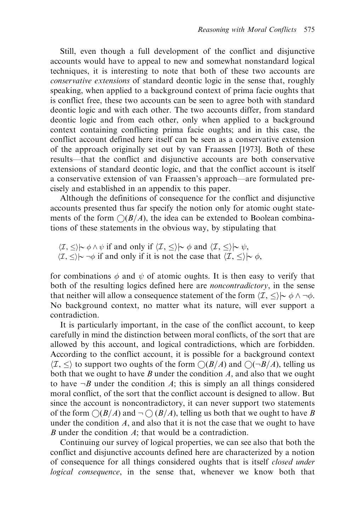Still, even though a full development of the conflict and disjunctive accounts would have to appeal to new and somewhat nonstandard logical techniques, it is interesting to note that both of these two accounts are conservative extensions of standard deontic logic in the sense that, roughly speaking, when applied to a background context of prima facie oughts that is conflict free, these two accounts can be seen to agree both with standard deontic logic and with each other. The two accounts differ, from standard deontic logic and from each other, only when applied to a background context containing conflicting prima facie oughts; and in this case, the conflict account defined here itself can be seen as a conservative extension of the approach originally set out by van Fraassen [1973]. Both of these results—that the conflict and disjunctive accounts are both conservative extensions of standard deontic logic, and that the conflict account is itself a conservative extension of van Fraassen's approach—are formulated precisely and established in an appendix to this paper.

Although the definitions of consequence for the conflict and disjunctive accounts presented thus far specify the notion only for atomic ought statements of the form  $\bigcirc (B/A)$ , the idea can be extended to Boolean combinations of these statements in the obvious way, by stipulating that

 $\langle \mathcal{I}, \leq \rangle \sim \phi \wedge \psi$  if and only if  $\langle \mathcal{I}, \leq \rangle \sim \phi$  and  $\langle \mathcal{I}, \leq \rangle \sim \psi$ ,  $\langle \mathcal{I}, \leq \rangle$   $\sim \neg \phi$  if and only if it is not the case that  $\langle \mathcal{I}, \leq \rangle$   $\sim \phi$ ,

for combinations  $\phi$  and  $\psi$  of atomic oughts. It is then easy to verify that both of the resulting logics defined here are *noncontradictory*, in the sense that neither will allow a consequence statement of the form  $\langle \mathcal{I}, \langle \rangle \rangle \sim \phi \wedge \neg \phi$ . No background context, no matter what its nature, will ever support a contradiction.

It is particularly important, in the case of the conflict account, to keep carefully in mind the distinction between moral conflicts, of the sort that are allowed by this account, and logical contradictions, which are forbidden. According to the conflict account, it is possible for a background context  $\langle \mathcal{I}, \leq \rangle$  to support two oughts of the form  $\bigcirc(B/A)$  and  $\bigcirc(\neg B/A)$ , telling us both that we ought to have B under the condition  $\tilde{A}$ , and also that we ought to have  $\neg B$  under the condition A; this is simply an all things considered moral conflict, of the sort that the conflict account is designed to allow. But since the account is noncontradictory, it can never support two statements of the form  $\bigcirc (B/A)$  and  $\neg \bigcirc (B/A)$ , telling us both that we ought to have B under the condition  $A$ , and also that it is not the case that we ought to have B under the condition A; that would be a contradiction.

Continuing our survey of logical properties, we can see also that both the conflict and disjunctive accounts defined here are characterized by a notion of consequence for all things considered oughts that is itself closed under logical consequence, in the sense that, whenever we know both that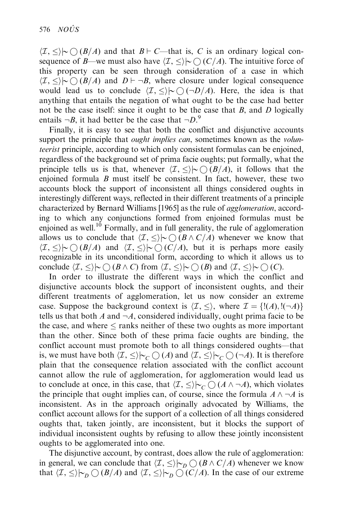$\langle \mathcal{I}, \leq \rangle$   $\sim$   $\bigcirc$  (*B*/*A*) and that *B*  $\vdash$  *C*—that is, *C* is an ordinary logical consequence of *B*—we must also have  $\langle I, \leq \rangle$   $\sim \bigcirc C/A$ ). The intuitive force of this property can be seen through consideration of a case in which  $\langle \mathcal{I}, \leq \rangle$   $\sim$   $\bigcirc$  (*B*/*A*) and *D*  $\vdash \neg B$ , where closure under logical consequence would lead us to conclude  $\langle I, \leq \rangle \sim \bigcirc (-D/A)$ . Here, the idea is that anything that entails the negation of what ought to be the case had better not be the case itself: since it ought to be the case that  $B$ , and  $D$  logically entails  $\neg B$ , it had better be the case that  $\neg D$ .

Finally, it is easy to see that both the conflict and disjunctive accounts support the principle that *ought implies can*, sometimes known as the *volun*teerist principle, according to which only consistent formulas can be enjoined, regardless of the background set of prima facie oughts; put formally, what the principle tells us is that, whenever  $\langle \mathcal{I}, \leq \rangle \sim \bigcirc (B/A)$ , it follows that the enjoined formula  $B$  must itself be consistent. In fact, however, these two accounts block the support of inconsistent all things considered oughts in interestingly different ways, reflected in their different treatments of a principle characterized by Bernard Williams [1965] as the rule of agglomeration, according to which any conjunctions formed from enjoined formulas must be enjoined as well.<sup>10</sup> Formally, and in full generality, the rule of agglomeration allows us to conclude that  $\langle \mathcal{I}, \leq \rangle \sim \bigcirc (B \wedge C/A)$  whenever we know that  $\langle \mathcal{I}, \leq \rangle$   $\sim \bigcirc (B/A)$  and  $\langle \mathcal{I}, \leq \rangle$   $\sim \bigcirc (C/A)$ , but it is perhaps more easily recognizable in its unconditional form, according to which it allows us to conclude  $\langle \mathcal{I}, \leq \rangle \sim \bigcirc (B \wedge C)$  from  $\langle \mathcal{I}, \leq \rangle \sim \bigcirc (B)$  and  $\langle \mathcal{I}, \leq \rangle \sim \bigcirc (C)$ .

In order to illustrate the different ways in which the conflict and disjunctive accounts block the support of inconsistent oughts, and their different treatments of agglomeration, let us now consider an extreme case. Suppose the background context is  $\langle \mathcal{I}, \leq \rangle$ , where  $\mathcal{I} = \{!(A), !(\neg A)\}$ tells us that both A and  $\neg A$ , considered individually, ought prima facie to be the case, and where  $\leq$  ranks neither of these two oughts as more important than the other. Since both of these prima facie oughts are binding, the conflict account must promote both to all things considered oughts—that is, we must have both  $\langle \mathcal{I}, \leq \rangle \big\vert_{\mathcal{I}_C} \bigcirc (A)$  and  $\langle \mathcal{I}, \leq \rangle \big\vert_{\mathcal{I}_C} \bigcirc (\neg A)$ . It is therefore plain that the consequence relation associated with the conflict account cannot allow the rule of agglomeration, for agglomeration would lead us to conclude at once, in this case, that  $\langle I, \leq \rangle \sim_C \bigcirc (A \land \neg A)$ , which violates the principle that ought implies can, of course, since the formula  $A \wedge \neg A$  is inconsistent. As in the approach originally advocated by Williams, the conflict account allows for the support of a collection of all things considered oughts that, taken jointly, are inconsistent, but it blocks the support of individual inconsistent oughts by refusing to allow these jointly inconsistent oughts to be agglomerated into one.

The disjunctive account, by contrast, does allow the rule of agglomeration: in general, we can conclude that  $\langle \mathcal{I}, \leq \rangle \Big|_{D} \bigcirc (B \wedge C/A)$  whenever we know that  $\langle \mathcal{I}, \leq \rangle \big|_{D} \bigcirc (B/A)$  and  $\langle \mathcal{I}, \leq \rangle \big|_{D} \bigcirc (C/A)$ . In the case of our extreme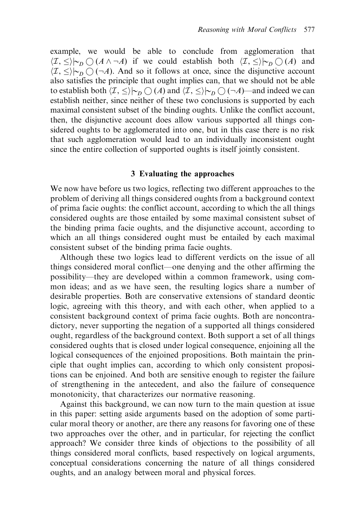example, we would be able to conclude from agglomeration that  $\langle \mathcal{I}, \leq \rangle \big|_{\mathcal{P}_D} \bigcirc (A \land \neg A)$  if we could establish both  $\langle \mathcal{I}, \leq \rangle \big|_{\mathcal{P}_D} \bigcirc (A)$  and hI, ij\*<sup>D</sup> - (:A). And so it follows at once, since the disjunctive account also satisfies the principle that ought implies can, that we should not be able to establish both  $\langle \mathcal{I}, \leq \rangle \big| \sim_D \bigcirc (A)$  and  $\langle \mathcal{I}, \leq \rangle \big| \sim_D \bigcirc (\neg A)$ —and indeed we can establish neither, since neither of these two conclusions is supported by each maximal consistent subset of the binding oughts. Unlike the conflict account, then, the disjunctive account does allow various supported all things considered oughts to be agglomerated into one, but in this case there is no risk that such agglomeration would lead to an individually inconsistent ought since the entire collection of supported oughts is itself jointly consistent.

# 3 Evaluating the approaches

We now have before us two logics, reflecting two different approaches to the problem of deriving all things considered oughts from a background context of prima facie oughts: the conflict account, according to which the all things considered oughts are those entailed by some maximal consistent subset of the binding prima facie oughts, and the disjunctive account, according to which an all things considered ought must be entailed by each maximal consistent subset of the binding prima facie oughts.

Although these two logics lead to different verdicts on the issue of all things considered moral conflict—one denying and the other affirming the possibility—they are developed within a common framework, using common ideas; and as we have seen, the resulting logics share a number of desirable properties. Both are conservative extensions of standard deontic logic, agreeing with this theory, and with each other, when applied to a consistent background context of prima facie oughts. Both are noncontradictory, never supporting the negation of a supported all things considered ought, regardless of the background context. Both support a set of all things considered oughts that is closed under logical consequence, enjoining all the logical consequences of the enjoined propositions. Both maintain the principle that ought implies can, according to which only consistent propositions can be enjoined. And both are sensitive enough to register the failure of strengthening in the antecedent, and also the failure of consequence monotonicity, that characterizes our normative reasoning.

Against this background, we can now turn to the main question at issue in this paper: setting aside arguments based on the adoption of some particular moral theory or another, are there any reasons for favoring one of these two approaches over the other, and in particular, for rejecting the conflict approach? We consider three kinds of objections to the possibility of all things considered moral conflicts, based respectively on logical arguments, conceptual considerations concerning the nature of all things considered oughts, and an analogy between moral and physical forces.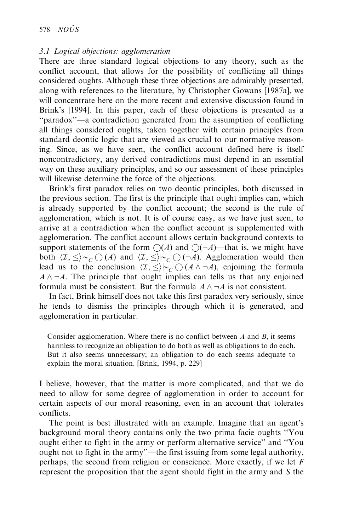## 3.1 Logical objections: agglomeration

There are three standard logical objections to any theory, such as the conflict account, that allows for the possibility of conflicting all things considered oughts. Although these three objections are admirably presented, along with references to the literature, by Christopher Gowans [1987a], we will concentrate here on the more recent and extensive discussion found in Brink's [1994]. In this paper, each of these objections is presented as a ''paradox''—a contradiction generated from the assumption of conflicting all things considered oughts, taken together with certain principles from standard deontic logic that are viewed as crucial to our normative reasoning. Since, as we have seen, the conflict account defined here is itself noncontradictory, any derived contradictions must depend in an essential way on these auxiliary principles, and so our assessment of these principles will likewise determine the force of the objections.

Brink's first paradox relies on two deontic principles, both discussed in the previous section. The first is the principle that ought implies can, which is already supported by the conflict account; the second is the rule of agglomeration, which is not. It is of course easy, as we have just seen, to arrive at a contradiction when the conflict account is supplemented with agglomeration. The conflict account allows certain background contexts to support statements of the form  $\bigcirc(A)$  and  $\bigcirc(\neg A)$ —that is, we might have both  $\langle \mathcal{I}, \leq \rangle \sim_C \bigcirc (A)$  and  $\langle \mathcal{I}, \leq \rangle \sim_C \bigcirc (\neg A)$ . Agglomeration would then lead us to the conclusion  $\langle \mathcal{I}, \leq \rangle \sim_C \bigcirc (A \land \neg A)$ , enjoining the formula  $A \wedge \neg A$ . The principle that ought implies can tells us that any enjoined formula must be consistent. But the formula  $A \wedge \neg A$  is not consistent.

In fact, Brink himself does not take this first paradox very seriously, since he tends to dismiss the principles through which it is generated, and agglomeration in particular.

Consider agglomeration. Where there is no conflict between  $A$  and  $B$ , it seems harmless to recognize an obligation to do both as well as obligations to do each. But it also seems unnecessary; an obligation to do each seems adequate to explain the moral situation. [Brink, 1994, p. 229]

I believe, however, that the matter is more complicated, and that we do need to allow for some degree of agglomeration in order to account for certain aspects of our moral reasoning, even in an account that tolerates conflicts.

The point is best illustrated with an example. Imagine that an agent's background moral theory contains only the two prima facie oughts ''You ought either to fight in the army or perform alternative service'' and ''You ought not to fight in the army''—the first issuing from some legal authority, perhaps, the second from religion or conscience. More exactly, if we let F represent the proposition that the agent should fight in the army and S the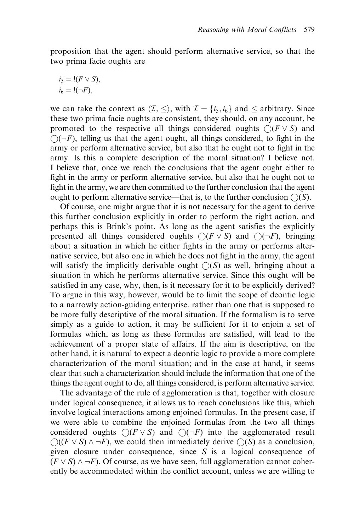proposition that the agent should perform alternative service, so that the two prima facie oughts are

$$
i_5 = !(F \vee S),
$$
  

$$
i_6 = !(\neg F),
$$

we can take the context as  $\langle \mathcal{I}, \langle \cdot \rangle$ , with  $\mathcal{I} = \{i_5, i_6\}$  and  $\langle$  arbitrary. Since these two prima facie oughts are consistent, they should, on any account, be promoted to the respective all things considered oughts  $\bigcirc (F \vee S)$  and  $\bigcirc$ ( $\neg$ F), telling us that the agent ought, all things considered, to fight in the army or perform alternative service, but also that he ought not to fight in the army. Is this a complete description of the moral situation? I believe not. I believe that, once we reach the conclusions that the agent ought either to fight in the army or perform alternative service, but also that he ought not to fight in the army, we are then committed to the further conclusion that the agent ought to perform alternative service—that is, to the further conclusion  $\bigcirc(S)$ .

Of course, one might argue that it is not necessary for the agent to derive this further conclusion explicitly in order to perform the right action, and perhaps this is Brink's point. As long as the agent satisfies the explicitly presented all things considered oughts  $\bigcirc (F \vee S)$  and  $\bigcirc (\neg F)$ , bringing about a situation in which he either fights in the army or performs alternative service, but also one in which he does not fight in the army, the agent will satisfy the implicitly derivable ought  $\bigcirc(S)$  as well, bringing about a situation in which he performs alternative service. Since this ought will be satisfied in any case, why, then, is it necessary for it to be explicitly derived? To argue in this way, however, would be to limit the scope of deontic logic to a narrowly action-guiding enterprise, rather than one that is supposed to be more fully descriptive of the moral situation. If the formalism is to serve simply as a guide to action, it may be sufficient for it to enjoin a set of formulas which, as long as these formulas are satisfied, will lead to the achievement of a proper state of affairs. If the aim is descriptive, on the other hand, it is natural to expect a deontic logic to provide a more complete characterization of the moral situation; and in the case at hand, it seems clear that such a characterization should include the information that one of the things the agent ought to do, all things considered, is perform alternative service.

The advantage of the rule of agglomeration is that, together with closure under logical consequence, it allows us to reach conclusions like this, which involve logical interactions among enjoined formulas. In the present case, if we were able to combine the enjoined formulas from the two all things considered oughts  $\bigcirc (F \vee S)$  and  $\bigcirc (\neg F)$  into the agglomerated result  $\bigcirc$ ( $(F \vee S) \wedge \neg F$ ), we could then immediately derive  $\bigcirc$ (S) as a conclusion, given closure under consequence, since  $S$  is a logical consequence of  $(F \vee S) \wedge \neg F$ . Of course, as we have seen, full agglomeration cannot coherently be accommodated within the conflict account, unless we are willing to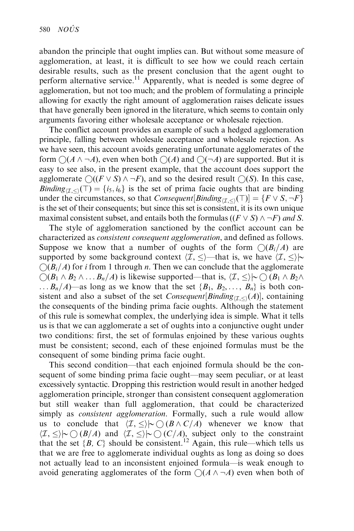abandon the principle that ought implies can. But without some measure of agglomeration, at least, it is difficult to see how we could reach certain desirable results, such as the present conclusion that the agent ought to perform alternative service.<sup>11</sup> Apparently, what is needed is some degree of agglomeration, but not too much; and the problem of formulating a principle allowing for exactly the right amount of agglomeration raises delicate issues that have generally been ignored in the literature, which seems to contain only arguments favoring either wholesale acceptance or wholesale rejection.

The conflict account provides an example of such a hedged agglomeration principle, falling between wholesale acceptance and wholesale rejection. As we have seen, this account avoids generating unfortunate agglomerates of the form  $\bigcirc (A \land \neg A)$ , even when both  $\bigcirc (A)$  and  $\bigcirc (\neg A)$  are supported. But it is easy to see also, in the present example, that the account does support the agglomerate  $\bigcirc ((F \vee S) \wedge \neg F)$ , and so the desired result  $\bigcirc (S)$ . In this case, *Binding*<sub> $(I \leq \{i\}, i_6\}$  is the set of prima facie oughts that are binding</sub> under the circumstances, so that *Consequent*[*Binding*<sub> $(I \leq \{F \vee S, \neg F\}$ ]</sub> is the set of their consequents; but since this set is consistent, it is its own unique maximal consistent subset, and entails both the formulas ( $(F \vee S) \wedge \neg F$ ) and S.

The style of agglomeration sanctioned by the conflict account can be characterized as consistent consequent agglomeration, and defined as follows. Suppose we know that a number of oughts of the form  $\bigcirc (B_i/A)$  are supported by some background context  $\langle \mathcal{I}, \leq \rangle$ —that is, we have  $\langle \mathcal{I}, \leq \rangle$   $\sim$  $\bigcirc (B_i/A)$  for *i* from 1 through *n*. Then we can conclude that the agglomerate  $\bigcirc (B_1 \wedge B_2 \wedge \ldots B_n/A)$  is likewise supported—that is,  $\langle \mathcal{I}, \leq \rangle \sim \bigcirc (B_1 \wedge B_2 \wedge$  $\ldots$  B<sub>n</sub>/A)—as long as we know that the set {B<sub>1</sub>, B<sub>2</sub>, ... , B<sub>n</sub>} is both consistent and also a subset of the set *Consequent* [*Binding*<sub> $(I,\leq)$ </sub> $(A)$ ], containing the consequents of the binding prima facie oughts. Although the statement of this rule is somewhat complex, the underlying idea is simple. What it tells us is that we can agglomerate a set of oughts into a conjunctive ought under two conditions: first, the set of formulas enjoined by these various oughts must be consistent; second, each of these enjoined formulas must be the consequent of some binding prima facie ought.

This second condition—that each enjoined formula should be the consequent of some binding prima facie ought—may seem peculiar, or at least excessively syntactic. Dropping this restriction would result in another hedged agglomeration principle, stronger than consistent consequent agglomeration but still weaker than full agglomeration, that could be characterized simply as *consistent agglomeration*. Formally, such a rule would allow us to conclude that  $\langle I, \leq \rangle \sim \bigcirc (B \wedge C/A)$  whenever we know that  $\langle \mathcal{I}, \leq \rangle$   $\sim \bigcirc (B/A)$  and  $\langle \mathcal{I}, \leq \rangle$   $\sim \bigcirc (C/A)$ , subject only to the constraint that the set  $\{B, C\}$  should be consistent.<sup>12</sup> Again, this rule—which tells us that we are free to agglomerate individual oughts as long as doing so does not actually lead to an inconsistent enjoined formula—is weak enough to avoid generating agglomerates of the form  $\bigcirc (A \land \neg A)$  even when both of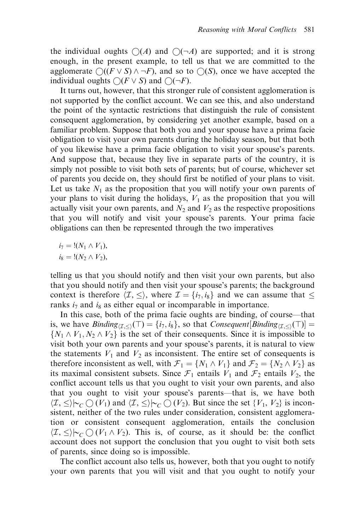the individual oughts  $\bigcirc(A)$  and  $\bigcirc(\neg A)$  are supported; and it is strong enough, in the present example, to tell us that we are committed to the agglomerate  $\bigcirc ((F \vee S) \wedge \neg F)$ , and so to  $\bigcirc (S)$ , once we have accepted the individual oughts  $\bigcirc (F \vee S)$  and  $\bigcirc (\neg F)$ .

It turns out, however, that this stronger rule of consistent agglomeration is not supported by the conflict account. We can see this, and also understand the point of the syntactic restrictions that distinguish the rule of consistent consequent agglomeration, by considering yet another example, based on a familiar problem. Suppose that both you and your spouse have a prima facie obligation to visit your own parents during the holiday season, but that both of you likewise have a prima facie obligation to visit your spouse's parents. And suppose that, because they live in separate parts of the country, it is simply not possible to visit both sets of parents; but of course, whichever set of parents you decide on, they should first be notified of your plans to visit. Let us take  $N_1$  as the proposition that you will notify your own parents of your plans to visit during the holidays,  $V_1$  as the proposition that you will actually visit your own parents, and  $N_2$  and  $V_2$  as the respective propositions that you will notify and visit your spouse's parents. Your prima facie obligations can then be represented through the two imperatives

$$
i_7 = !(N_1 \wedge V_1),
$$
  

$$
i_8 = !(N_2 \wedge V_2),
$$

telling us that you should notify and then visit your own parents, but also that you should notify and then visit your spouse's parents; the background context is therefore  $\langle \mathcal{I}, \leq \rangle$ , where  $\mathcal{I} = \{i_7, i_8\}$  and we can assume that  $\leq$ ranks  $i_7$  and  $i_8$  as either equal or incomparable in importance.

In this case, both of the prima facie oughts are binding, of course—that is, we have Binding  $g_{[\mathcal{I},\leq)}(\top) = \{i_7,i_8\}$ , so that Consequent [Binding  $g_{[\mathcal{I},\leq)}(\top)$ ] =  $\{N_1 \wedge V_1, N_2 \wedge V_2\}$  is the set of their consequents. Since it is impossible to visit both your own parents and your spouse's parents, it is natural to view the statements  $V_1$  and  $V_2$  as inconsistent. The entire set of consequents is therefore inconsistent as well, with  $\mathcal{F}_1 = \{N_1 \wedge V_1\}$  and  $\mathcal{F}_2 = \{N_2 \wedge V_2\}$  as its maximal consistent subsets. Since  $\mathcal{F}_1$  entails  $V_1$  and  $\mathcal{F}_2$  entails  $V_2$ , the conflict account tells us that you ought to visit your own parents, and also that you ought to visit your spouse's parents—that is, we have both  $\langle \mathcal{I}, \leq \rangle \big|_{C} \bigcirc (V_1)$  and  $\langle \mathcal{I}, \leq \rangle \big|_{C} \bigcirc (V_2)$ . But since the set  $\{V_1, V_2\}$  is inconsistent, neither of the two rules under consideration, consistent agglomeration or consistent consequent agglomeration, entails the conclusion  $\langle \mathcal{I}, \leq \rangle \sim_C \bigcirc (V_1 \wedge V_2)$ . This is, of course, as it should be: the conflict account does not support the conclusion that you ought to visit both sets of parents, since doing so is impossible.

The conflict account also tells us, however, both that you ought to notify your own parents that you will visit and that you ought to notify your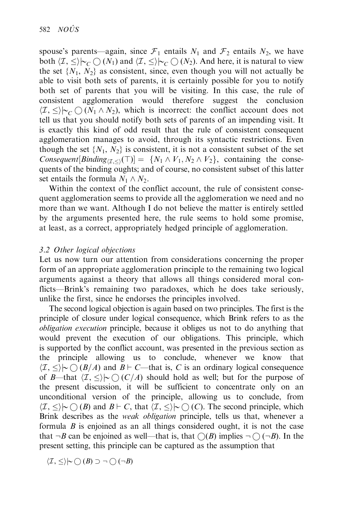spouse's parents—again, since  $\mathcal{F}_1$  entails  $N_1$  and  $\mathcal{F}_2$  entails  $N_2$ , we have both  $\langle \mathcal{I}, \leq \rangle \sim_C \bigcirc (N_1)$  and  $\langle \mathcal{I}, \leq \rangle \sim_C \bigcirc (N_2)$ . And here, it is natural to view the set  $\{N_1, N_2\}$  as consistent, since, even though you will not actually be able to visit both sets of parents, it is certainly possible for you to notify both set of parents that you will be visiting. In this case, the rule of consistent agglomeration would therefore suggest the conclusion  $\langle \mathcal{I}, \leq \rangle \big|_{C} \bigcirc (N_1 \wedge N_2)$ , which is incorrect: the conflict account does not tell us that you should notify both sets of parents of an impending visit. It is exactly this kind of odd result that the rule of consistent consequent agglomeration manages to avoid, through its syntactic restrictions. Even though the set  $\{N_1, N_2\}$  is consistent, it is not a consistent subset of the set Consequent [Binding<sub> $(I,\le)(\top)$ </sub> =  $\{N_1 \wedge V_1, N_2 \wedge V_2\}$ , containing the consequents of the binding oughts; and of course, no consistent subset of this latter set entails the formula  $N_1 \wedge N_2$ .

Within the context of the conflict account, the rule of consistent consequent agglomeration seems to provide all the agglomeration we need and no more than we want. Although I do not believe the matter is entirely settled by the arguments presented here, the rule seems to hold some promise, at least, as a correct, appropriately hedged principle of agglomeration.

# 3.2 Other logical objections

Let us now turn our attention from considerations concerning the proper form of an appropriate agglomeration principle to the remaining two logical arguments against a theory that allows all things considered moral conflicts—Brink's remaining two paradoxes, which he does take seriously, unlike the first, since he endorses the principles involved.

The second logical objection is again based on two principles. The first is the principle of closure under logical consequence, which Brink refers to as the obligation execution principle, because it obliges us not to do anything that would prevent the execution of our obligations. This principle, which is supported by the conflict account, was presented in the previous section as the principle allowing us to conclude, whenever we know that  $\langle \mathcal{I}, \leq \rangle$   $\sim$   $\bigcirc$  (*B*/*A*) and *B*  $\vdash$  *C*—that is, *C* is an ordinary logical consequence of B—that  $\langle \mathcal{I}, \leq \rangle$   $\sim$   $\bigcirc$   $(C/A)$  should hold as well; but for the purpose of the present discussion, it will be sufficient to concentrate only on an unconditional version of the principle, allowing us to conclude, from  $\langle \mathcal{I}, \leq \rangle$   $\sim \bigcirc$  (*B*) and  $B \vdash C$ , that  $\langle \mathcal{I}, \leq \rangle$   $\sim \bigcirc$  (*C*). The second principle, which Brink describes as the *weak obligation* principle, tells us that, whenever a formula B is enjoined as an all things considered ought, it is not the case that  $\neg B$  can be enjoined as well—that is, that  $\bigcirc(B)$  implies  $\neg \bigcirc (\neg B)$ . In the present setting, this principle can be captured as the assumption that

 $\langle \mathcal{I}, \leq \rangle \sim \bigcirc (B) \supset \neg \bigcirc (\neg B)$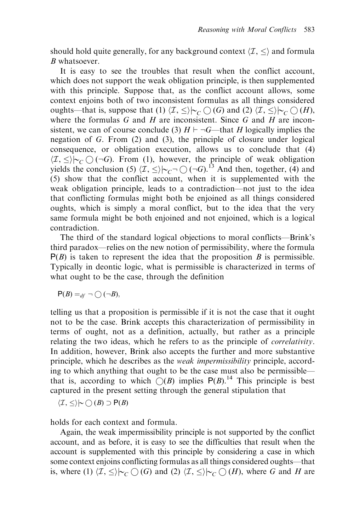should hold quite generally, for any background context  $\langle \mathcal{I}, \leq \rangle$  and formula B whatsoever.

It is easy to see the troubles that result when the conflict account, which does not support the weak obligation principle, is then supplemented with this principle. Suppose that, as the conflict account allows, some context enjoins bothof two inconsistent formulas as all things considered oughts—that is, suppose that (1)  $\langle \mathcal{I}, \leq \rangle \sim_C \bigcirc G$  and (2)  $\langle \mathcal{I}, \leq \rangle \sim_C \bigcirc (H)$ , where the formulas  $G$  and  $H$  are inconsistent. Since  $G$  and  $H$  are inconsistent, we can of course conclude (3)  $H \vdash \neg G$ —that H logically implies the negation of G. From (2) and (3), the principle of closure under logical consequence, or obligation execution, allows us to conclude that (4)  $\langle \mathcal{I}, \leq \rangle \sim_C \bigcirc (\neg G)$ . From (1), however, the principle of weak obligation yields the conclusion (5)  $\langle \mathcal{I}, \leq \rangle \sim_{C} \supset (\neg G)$ .<sup>13</sup> And then, together, (4) and (5) show that the conflict account, when it is supplemented with the weak obligation principle, leads to a contradiction—not just to the idea that conflicting formulas might both be enjoined as all things considered oughts, which is simply a moral conflict, but to the idea that the very same formula might be both enjoined and not enjoined, which is a logical contradiction.

The third of the standard logical objections to moral conflicts—Brink's third paradox—relies on the new notion of permissibility, where the formula  $P(B)$  is taken to represent the idea that the proposition B is permissible. Typically in deontic logic, what is permissible is characterized in terms of what ought to be the case, through the definition

 $P(B) =_{df} \neg \bigcirc (\neg B),$ 

telling us that a proposition is permissible if it is not the case that it ought not to be the case. Brink accepts this characterization of permissibility in terms of ought, not as a definition, actually, but rather as a principle relating the two ideas, which he refers to as the principle of *correlativity*. In addition, however, Brink also accepts the further and more substantive principle, which he describes as the *weak impermissibility* principle, according to which anything that ought to be the case must also be permissible that is, according to which  $O(B)$  implies  $P(B)$ .<sup>14</sup> This principle is best captured in the present setting through the general stipulation that

 $\langle \mathcal{I}, \leq \rangle$   $\sim$   $\bigcirc$   $(B)$   $\supset$   $P(B)$ 

holds for each context and formula.

Again, the weak impermissibility principle is not supported by the conflict account, and as before, it is easy to see the difficulties that result when the account is supplemented with this principle by considering a case in which some context enjoins conflicting formulas as all things considered oughts—that is, where (1)  $\langle \mathcal{I}, \leq \rangle \big|_{C} \bigcirc G$  and (2)  $\langle \mathcal{I}, \leq \rangle \big|_{C} \bigcirc (H)$ , where G and H are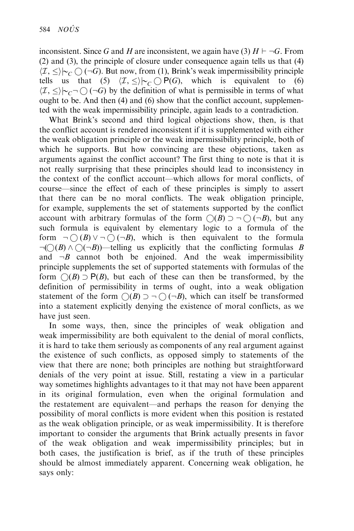inconsistent. Since G and H are inconsistent, we again have (3)  $H \vdash \neg G$ . From (2) and (3), the principle of closure under consequence again tells us that (4)  $\langle \mathcal{I}, \leq \rangle \big|_{C} \bigcirc (-G)$ . But now, from (1), Brink's weak impermissibility principle tells us that (5)  $\langle \mathcal{I}, \leq \rangle \sim_C \bigcirc P(G)$ , which is equivalent to (6)  $\langle \mathcal{I}, \leq \rangle \sim_{C} \neg \bigcirc (\neg G)$  by the definition of what is permissible in terms of what ought to be. And then (4) and (6) show that the conflict account, supplemented with the weak impermissibility principle, again leads to a contradiction.

What Brink's second and third logical objections show, then, is that the conflict account is rendered inconsistent if it is supplemented with either the weak obligation principle or the weak impermissibility principle, both of which he supports. But how convincing are these objections, taken as arguments against the conflict account? The first thing to note is that it is not really surprising that these principles should lead to inconsistency in the context of the conflict account—which allows for moral conflicts, of course—since the effect of each of these principles is simply to assert that there can be no moral conflicts. The weak obligation principle, for example, supplements the set of statements supported by the conflict account with arbitrary formulas of the form  $\bigcirc(B) \supset \neg \bigcirc (\neg B)$ , but any such formula is equivalent by elementary logic to a formula of the form  $\neg \bigcirc (B) \vee \neg \bigcirc (\neg B)$ , which is then equivalent to the formula  $\neg(\bigcirc(B) \land \bigcirc(\neg B))$ —telling us explicitly that the conflicting formulas B and  $\neg B$  cannot both be enjoined. And the weak impermissibility principle supplements the set of supported statements with formulas of the form  $\bigcirc(B) \supset P(B)$ , but each of these can then be transformed, by the definition of permissibility in terms of ought, into a weak obligation statement of the form  $\bigcirc(B) \supset \neg \bigcirc (\neg B)$ , which can itself be transformed into a statement explicitly denying the existence of moral conflicts, as we have just seen.

In some ways, then, since the principles of weak obligation and weak impermissibility are both equivalent to the denial of moral conflicts, it is hard to take them seriously as components of any real argument against the existence of such conflicts, as opposed simply to statements of the view that there are none; both principles are nothing but straightforward denials of the very point at issue. Still, restating a view in a particular way sometimes highlights advantages to it that may not have been apparent in its original formulation, even when the original formulation and the restatement are equivalent—and perhaps the reason for denying the possibility of moral conflicts is more evident when this position is restated as the weak obligation principle, or as weak impermissibility. It is therefore important to consider the arguments that Brink actually presents in favor of the weak obligation and weak impermissibility principles; but in both cases, the justification is brief, as if the truth of these principles should be almost immediately apparent. Concerning weak obligation, he says only: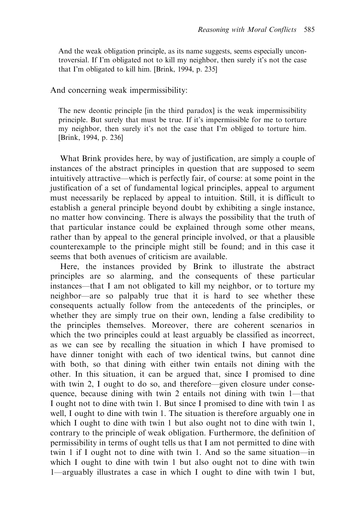And the weak obligation principle, as its name suggests, seems especially uncontroversial. If I'm obligated not to kill my neighbor, then surely it's not the case that I'm obligated to kill him. [Brink, 1994, p. 235]

# And concerning weak impermissibility:

The new deontic principle [in the third paradox] is the weak impermissibility principle. But surely that must be true. If it's impermissible for me to torture my neighbor, then surely it's not the case that I'm obliged to torture him. [Brink, 1994, p. 236]

What Brink provides here, by way of justification, are simply a couple of instances of the abstract principles in question that are supposed to seem intuitively attractive—which is perfectly fair, of course: at some point in the justification of a set of fundamental logical principles, appeal to argument must necessarily be replaced by appeal to intuition. Still, it is difficult to establisha general principle beyond doubt by exhibiting a single instance, no matter how convincing. There is always the possibility that the truth of that particular instance could be explained through some other means, rather than by appeal to the general principle involved, or that a plausible counterexample to the principle might still be found; and in this case it seems that both avenues of criticism are available.

Here, the instances provided by Brink to illustrate the abstract principles are so alarming, and the consequents of these particular instances—that I am not obligated to kill my neighbor, or to torture my neighbor—are so palpably true that it is hard to see whether these consequents actually follow from the antecedents of the principles, or whether they are simply true on their own, lending a false credibility to the principles themselves. Moreover, there are coherent scenarios in which the two principles could at least arguably be classified as incorrect, as we can see by recalling the situation in which I have promised to have dinner tonight with each of two identical twins, but cannot dine with both, so that dining with either twin entails not dining with the other. In this situation, it can be argued that, since I promised to dine with twin 2, I ought to do so, and therefore—given closure under consequence, because dining with twin 2 entails not dining with twin 1—that I ought not to dine with twin 1. But since I promised to dine with twin 1 as well, I ought to dine with twin 1. The situation is therefore arguably one in which I ought to dine with twin 1 but also ought not to dine with twin 1, contrary to the principle of weak obligation. Furthermore, the definition of permissibility in terms of ought tells us that I am not permitted to dine with twin 1 if I ought not to dine with twin 1. And so the same situation—in which I ought to dine with twin 1 but also ought not to dine with twin 1—arguably illustrates a case in which I ought to dine with twin 1 but,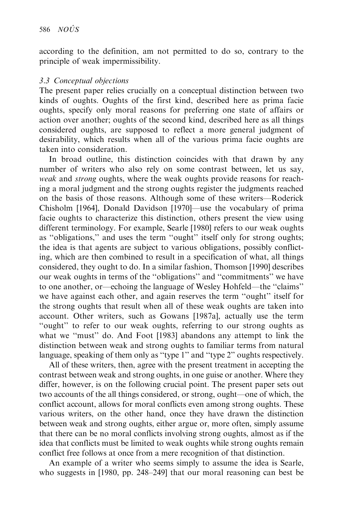according to the definition, am not permitted to do so, contrary to the principle of weak impermissibility.

# 3.3 Conceptual objections

The present paper relies crucially on a conceptual distinction between two kinds of oughts. Oughts of the first kind, described here as prima facie oughts, specify only moral reasons for preferring one state of affairs or action over another; oughts of the second kind, described here as all things considered oughts, are supposed to reflect a more general judgment of desirability, which results when all of the various prima facie oughts are taken into consideration.

In broad outline, this distinction coincides with that drawn by any number of writers who also rely on some contrast between, let us say, weak and strong oughts, where the weak oughts provide reasons for reaching a moral judgment and the strong oughts register the judgments reached on the basis of those reasons. Although some of these writers—Roderick Chisholm [1964], Donald Davidson [1970]—use the vocabulary of prima facie oughts to characterize this distinction, others present the view using different terminology. For example, Searle [1980] refers to our weak oughts as ''obligations,'' and uses the term ''ought'' itself only for strong oughts; the idea is that agents are subject to various obligations, possibly conflicting, which are then combined to result in a specification of what, all things considered, they ought to do. In a similar fashion, Thomson [1990] describes our weak oughts in terms of the ''obligations'' and ''commitments'' we have to one another, or—echoing the language of Wesley Hohfeld—the ''claims'' we have against each other, and again reserves the term ''ought'' itself for the strong oughts that result when all of these weak oughts are taken into account. Other writers, such as Gowans [1987a], actually use the term "ought" to refer to our weak oughts, referring to our strong oughts as what we "must" do. And Foot [1983] abandons any attempt to link the distinction between weak and strong oughts to familiar terms from natural language, speaking of them only as "type 1" and "type 2" oughts respectively.

All of these writers, then, agree with the present treatment in accepting the contrast between weak and strong oughts, in one guise or another. Where they differ, however, is on the following crucial point. The present paper sets out two accounts of the all things considered, or strong, ought—one of which, the conflict account, allows for moral conflicts even among strong oughts. These various writers, on the other hand, once they have drawn the distinction between weak and strong oughts, either argue or, more often, simply assume that there can be no moral conflicts involving strong oughts, almost as if the idea that conflicts must be limited to weak oughts while strong oughts remain conflict free follows at once from a mere recognition of that distinction.

An example of a writer who seems simply to assume the idea is Searle, who suggests in [1980, pp. 248–249] that our moral reasoning can best be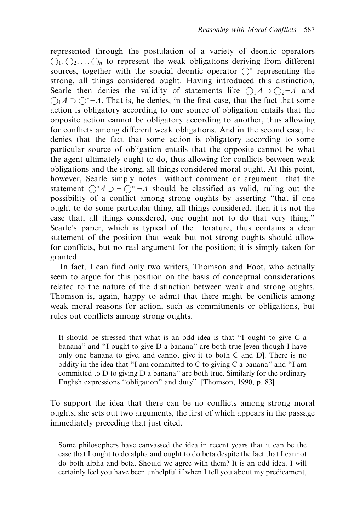represented through the postulation of a variety of deontic operators  $\bigcirc_1, \bigcirc_2, \dots \bigcirc_n$  to represent the weak obligations deriving from different sources, together with the special deontic operator  $\bigcirc^*$  representing the strong, all things considered ought. Having introduced this distinction, Searle then denies the validity of statements like  $\bigcirc_1 A \supset \bigcirc_2 \neg A$  and  $\bigcirc_{1}A \supset \bigcirc^{*}\neg A$ . That is, he denies, in the first case, that the fact that some action is obligatory according to one source of obligation entails that the opposite action cannot be obligatory according to another, thus allowing for conflicts among different weak obligations. And in the second case, he denies that the fact that some action is obligatory according to some particular source of obligation entails that the opposite cannot be what the agent ultimately ought to do, thus allowing for conflicts between weak obligations and the strong, all things considered moral ought. At this point, however, Searle simply notes—without comment or argument—that the statement  $\bigcirc^* A \supset \neg \bigcirc^* \neg A$  should be classified as valid, ruling out the possibility of a conflict among strong oughts by asserting ''that if one ought to do some particular thing, all things considered, then it is not the case that, all things considered, one ought not to do that very thing.'' Searle's paper, which is typical of the literature, thus contains a clear statement of the position that weak but not strong oughts should allow for conflicts, but no real argument for the position; it is simply taken for granted.

In fact, I can find only two writers, Thomson and Foot, who actually seem to argue for this position on the basis of conceptual considerations related to the nature of the distinction between weak and strong oughts. Thomson is, again, happy to admit that there might be conflicts among weak moral reasons for action, such as commitments or obligations, but rules out conflicts among strong oughts.

It should be stressed that what is an odd idea is that ''I ought to give C a banana'' and ''I ought to give D a banana'' are both true [even though I have only one banana to give, and cannot give it to both  $C$  and  $D$ ]. There is no oddity in the idea that ''I am committed to C to giving C a banana'' and ''I am committed to  $D$  to giving  $D$  a banana" are both true. Similarly for the ordinary English expressions "obligation" and duty". [Thomson, 1990, p. 83]

To support the idea that there can be no conflicts among strong moral oughts, she sets out two arguments, the first of which appears in the passage immediately preceding that just cited.

Some philosophers have canvassed the idea in recent years that it can be the case that I ought to do alpha and ought to do beta despite the fact that I cannot do both alpha and beta. Should we agree with them? It is an odd idea. I will certainly feel you have been unhelpful if when I tell you about my predicament,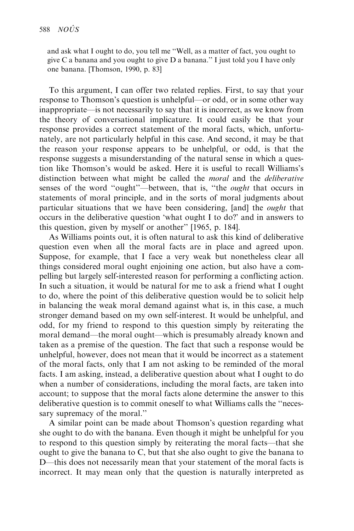and ask what I ought to do, you tell me ''Well, as a matter of fact, you ought to give C a banana and you ought to give D a banana.'' I just told you I have only one banana. [Thomson, 1990, p. 83]

To this argument, I can offer two related replies. First, to say that your response to Thomson's question is unhelpful—or odd, or in some other way inappropriate—is not necessarily to say that it is incorrect, as we know from the theory of conversational implicature. It could easily be that your response provides a correct statement of the moral facts, which, unfortunately, are not particularly helpful in this case. And second, it may be that the reason your response appears to be unhelpful, or odd, is that the response suggests a misunderstanding of the natural sense in which a question like Thomson's would be asked. Here it is useful to recall Williams's distinction between what might be called the moral and the deliberative senses of the word "ought"—between, that is, "the *ought* that occurs in statements of moral principle, and in the sorts of moral judgments about particular situations that we have been considering, [and] the ought that occurs in the deliberative question 'what ought I to do?' and in answers to this question, given by myself or another'' [1965, p. 184].

As Williams points out, it is often natural to ask this kind of deliberative question even when all the moral facts are in place and agreed upon. Suppose, for example, that I face a very weak but nonetheless clear all things considered moral ought enjoining one action, but also have a compelling but largely self-interested reason for performing a conflicting action. In such a situation, it would be natural for me to ask a friend what I ought to do, where the point of this deliberative question would be to solicit help in balancing the weak moral demand against what is, in this case, a much stronger demand based on my own self-interest. It would be unhelpful, and odd, for my friend to respond to this question simply by reiterating the moral demand—the moral ought—which is presumably already known and taken as a premise of the question. The fact that such a response would be unhelpful, however, does not mean that it would be incorrect as a statement of the moral facts, only that I am not asking to be reminded of the moral facts. I am asking, instead, a deliberative question about what I ought to do when a number of considerations, including the moral facts, are taken into account; to suppose that the moral facts alone determine the answer to this deliberative question is to commit oneself to what Williams calls the ''necessary supremacy of the moral.''

A similar point can be made about Thomson's question regarding what she ought to do with the banana. Even though it might be unhelpful for you to respond to this question simply by reiterating the moral facts—that she ought to give the banana to C, but that she also ought to give the banana to D—this does not necessarily mean that your statement of the moral facts is incorrect. It may mean only that the question is naturally interpreted as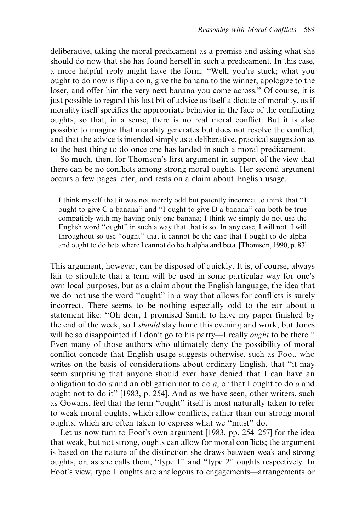deliberative, taking the moral predicament as a premise and asking what she should do now that she has found herself in such a predicament. In this case, a more helpful reply might have the form: ''Well, you're stuck; what you ought to do now is flip a coin, give the banana to the winner, apologize to the loser, and offer him the very next banana you come across.'' Of course, it is just possible to regard this last bit of advice as itself a dictate of morality, as if morality itself specifies the appropriate behavior in the face of the conflicting oughts, so that, in a sense, there is no real moral conflict. But it is also possible to imagine that morality generates but does not resolve the conflict, and that the advice is intended simply as a deliberative, practical suggestion as to the best thing to do once one has landed in such a moral predicament.

So much, then, for Thomson's first argument in support of the view that there can be no conflicts among strong moral oughts. Her second argument occurs a few pages later, and rests on a claim about Englishusage.

I think myself that it was not merely odd but patently incorrect to think that ''I ought to give C a banana'' and ''I ought to give D a banana'' can both be true compatibly with my having only one banana; I think we simply do not use the English word ''ought'' in such a way that that is so. In any case, I will not. I will throughout so use ''ought'' that it cannot be the case that I ought to do alpha and ought to do beta where I cannot do both alpha and beta. [Thomson, 1990, p. 83]

This argument, however, can be disposed of quickly. It is, of course, always fair to stipulate that a term will be used in some particular way for one's own local purposes, but as a claim about the English language, the idea that we do not use the word ''ought'' in a way that allows for conflicts is surely incorrect. There seems to be nothing especially odd to the ear about a statement like: ''Oh dear, I promised Smith to have my paper finished by the end of the week, so I should stay home this evening and work, but Jones will be so disappointed if I don't go to his party—I really *ought* to be there." Even many of those authors who ultimately deny the possibility of moral conflict concede that English usage suggests otherwise, such as Foot, who writes on the basis of considerations about ordinary English, that ''it may seem surprising that anyone should ever have denied that I can have an obligation to do a and an obligation not to do a, or that I ought to do a and ought not to do it'' [1983, p. 254]. And as we have seen, other writers, such as Gowans, feel that the term ''ought'' itself is most naturally taken to refer to weak moral oughts, which allow conflicts, rather than our strong moral oughts, which are often taken to express what we ''must'' do.

Let us now turn to Foot's own argument [1983, pp. 254–257] for the idea that weak, but not strong, oughts can allow for moral conflicts; the argument is based on the nature of the distinction she draws between weak and strong oughts, or, as she calls them, ''type 1'' and ''type 2'' oughts respectively. In Foot's view, type 1 oughts are analogous to engagements—arrangements or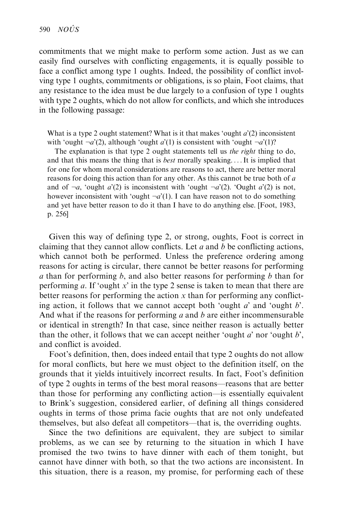commitments that we might make to perform some action. Just as we can easily find ourselves with conflicting engagements, it is equally possible to face a conflict among type 1 oughts. Indeed, the possibility of conflict involving type 1 oughts, commitments or obligations, is so plain, Foot claims, that any resistance to the idea must be due largely to a confusion of type 1 oughts with type 2 oughts, which do not allow for conflicts, and which she introduces in the following passage:

What is a type 2 ought statement? What is it that makes 'ought  $a'(2)$  inconsistent with 'ought  $\neg a'(2)$ , although 'ought  $a'(1)$  is consistent with 'ought  $\neg a'(1)$ ?

The explanation is that type 2 ought statements tell us *the right* thing to do, and that this means the thing that is best morally speaking. ...It is implied that for one for whom moral considerations are reasons to act, there are better moral reasons for doing this action than for any other. As this cannot be true both of a and of  $\neg a$ , 'ought a'(2) is inconsistent with 'ought  $\neg a'$ (2). 'Ought a'(2) is not, however inconsistent with 'ought  $\neg a'(1)$ . I can have reason not to do something and yet have better reason to do it than I have to do anything else. [Foot, 1983, p. 256]

Given this way of defining type 2, or strong, oughts, Foot is correct in claiming that they cannot allow conflicts. Let  $a$  and  $b$  be conflicting actions, which cannot both be performed. Unless the preference ordering among reasons for acting is circular, there cannot be better reasons for performing a than for performing  $b$ , and also better reasons for performing  $b$  than for performing a. If 'ought  $x$ ' in the type 2 sense is taken to mean that there are better reasons for performing the action  $x$  than for performing any conflicting action, it follows that we cannot accept both 'ought  $a$ ' and 'ought  $b$ '. And what if the reasons for performing  $a$  and  $b$  are either incommensurable or identical in strength? In that case, since neither reason is actually better than the other, it follows that we can accept neither 'ought  $a$ ' nor 'ought  $b$ ', and conflict is avoided.

Foot's definition, then, does indeed entail that type 2 oughts do not allow for moral conflicts, but here we must object to the definition itself, on the grounds that it yields intuitively incorrect results. In fact, Foot's definition of type 2 oughts in terms of the best moral reasons—reasons that are better than those for performing any conflicting action—is essentially equivalent to Brink's suggestion, considered earlier, of defining all things considered oughts in terms of those prima facie oughts that are not only undefeated themselves, but also defeat all competitors—that is, the overriding oughts.

Since the two definitions are equivalent, they are subject to similar problems, as we can see by returning to the situation in which I have promised the two twins to have dinner with each of them tonight, but cannot have dinner with both, so that the two actions are inconsistent. In this situation, there is a reason, my promise, for performing each of these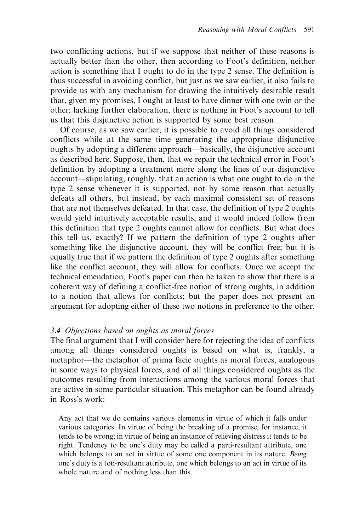two conflicting actions, but if we suppose that neither of these reasons is actually better than the other, then according to Foot's definition, neither action is something that I ought to do in the type 2 sense. The definition is thus successful in avoiding conflict, but just as we saw earlier, it also fails to provide us with any mechanism for drawing the intuitively desirable result that, given my promises, I ought at least to have dinner with one twin or the other; lacking further elaboration, there is nothing in Foot's account to tell us that this disjunctive action is supported by some best reason.

Of course, as we saw earlier, it is possible to avoid all things considered conflicts while at the same time generating the appropriate disjunctive oughts by adopting a different approach—basically, the disjunctive account as described here. Suppose, then, that we repair the technical error in Foot's definition by adopting a treatment more along the lines of our disjunctive account—stipulating, roughly, that an action is what one ought to do in the type 2 sense whenever it is supported, not by some reason that actually defeats all others, but instead, by each maximal consistent set of reasons that are not themselves defeated. In that case, the definition of type 2 oughts would yield intuitively acceptable results, and it would indeed follow from this definition that type 2 oughts cannot allow for conflicts. But what does this tell us, exactly? If we pattern the definition of type 2 oughts after something like the disjunctive account, they will be conflict free; but it is equally true that if we pattern the definition of type 2 oughts after something like the conflict account, they will allow for conflicts. Once we accept the technical emendation, Foot's paper can then be taken to show that there is a coherent way of defining a conflict-free notion of strong oughts, in addition to a notion that allows for conflicts; but the paper does not present an argument for adopting either of these two notions in preference to the other.

# 3.4 Objections based on oughts as moral forces

The final argument that I will consider here for rejecting the idea of conflicts among all things considered oughts is based on what is, frankly, a metaphor—the metaphor of prima facie oughts as moral forces, analogous in some ways to physical forces, and of all things considered oughts as the outcomes resulting from interactions among the various moral forces that are active in some particular situation. This metaphor can be found already in Ross's work:

Any act that we do contains various elements in virtue of which it falls under various categories. In virtue of being the breaking of a promise, for instance, it tends to be wrong; in virtue of being an instance of relieving distress it tends to be right. Tendency to be one's duty may be called a parti-resultant attribute, one which belongs to an act in virtue of some one component in its nature. Being one's duty is a toti-resultant attribute, one which belongs to an act in virtue of its whole nature and of nothing less than this.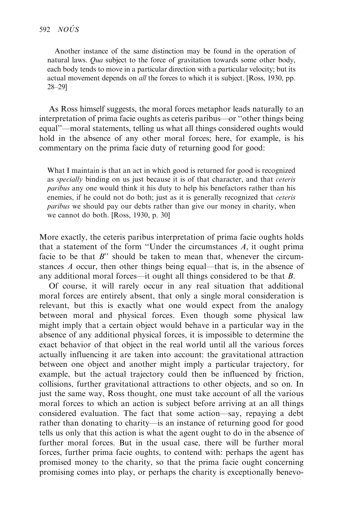Another instance of the same distinction may be found in the operation of natural laws. *Qua* subject to the force of gravitation towards some other body, each body tends to move in a particular direction with a particular velocity; but its actual movement depends on all the forces to which it is subject. [Ross, 1930, pp. 28–29]

As Ross himself suggests, the moral forces metaphor leads naturally to an interpretation of prima facie oughts as ceteris paribus—or ''other things being equal''—moral statements, telling us what all things considered oughts would hold in the absence of any other moral forces; here, for example, is his commentary on the prima facie duty of returning good for good:

What I maintain is that an act in which good is returned for good is recognized as *specially* binding on us just because it is of that character, and that *ceteris* paribus any one would think it his duty to help his benefactors rather than his enemies, if he could not do both; just as it is generally recognized that *ceteris* paribus we should pay our debts rather than give our money in charity, when we cannot do both. [Ross, 1930, p. 30]

More exactly, the ceteris paribus interpretation of prima facie oughts holds that a statement of the form "Under the circumstances  $A$ , it ought prima facie to be that  $B''$  should be taken to mean that, whenever the circumstances A occur, then other things being equal—that is, in the absence of any additional moral forces—it ought all things considered to be that B.

Of course, it will rarely occur in any real situation that additional moral forces are entirely absent, that only a single moral consideration is relevant, but this is exactly what one would expect from the analogy between moral and physical forces. Even though some physical law might imply that a certain object would behave in a particular way in the absence of any additional physical forces, it is impossible to determine the exact behavior of that object in the real world until all the various forces actually influencing it are taken into account: the gravitational attraction between one object and another might imply a particular trajectory, for example, but the actual trajectory could then be influenced by friction, collisions, further gravitational attractions to other objects, and so on. In just the same way, Ross thought, one must take account of all the various moral forces to which an action is subject before arriving at an all things considered evaluation. The fact that some action—say, repaying a debt rather than donating to charity—is an instance of returning good for good tells us only that this action is what the agent ought to do in the absence of further moral forces. But in the usual case, there will be further moral forces, further prima facie oughts, to contend with: perhaps the agent has promised money to the charity, so that the prima facie ought concerning promising comes into play, or perhaps the charity is exceptionally benevo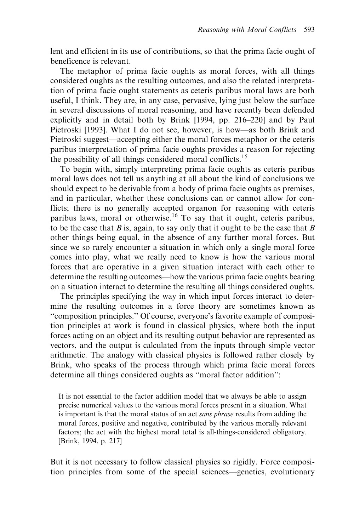lent and efficient in its use of contributions, so that the prima facie ought of beneficence is relevant.

The metaphor of prima facie oughts as moral forces, with all things considered oughts as the resulting outcomes, and also the related interpretation of prima facie ought statements as ceteris paribus moral laws are both useful, I think. They are, in any case, pervasive, lying just below the surface in several discussions of moral reasoning, and have recently been defended explicitly and in detail both by Brink  $[1994, pp. 216–220]$  and by Paul Pietroski [1993]. What I do not see, however, is how—as both Brink and Pietroski suggest—accepting either the moral forces metaphor or the ceteris paribus interpretation of prima facie oughts provides a reason for rejecting the possibility of all things considered moral conflicts.<sup>15</sup>

To begin with, simply interpreting prima facie oughts as ceteris paribus moral laws does not tell us anything at all about the kind of conclusions we should expect to be derivable from a body of prima facie oughts as premises, and in particular, whether these conclusions can or cannot allow for conflicts; there is no generally accepted organon for reasoning with ceteris paribus laws, moral or otherwise.<sup>16</sup> To say that it ought, ceteris paribus, to be the case that  $B$  is, again, to say only that it ought to be the case that  $B$ other things being equal, in the absence of any further moral forces. But since we so rarely encounter a situation in which only a single moral force comes into play, what we really need to know is how the various moral forces that are operative in a given situation interact with each other to determine the resulting outcomes—how the various prima facie oughts bearing on a situation interact to determine the resulting all things considered oughts.

The principles specifying the way in which input forces interact to determine the resulting outcomes in a force theory are sometimes known as ''composition principles.'' Of course, everyone's favorite example of composition principles at work is found in classical physics, where both the input forces acting on an object and its resulting output behavior are represented as vectors, and the output is calculated from the inputs through simple vector arithmetic. The analogy with classical physics is followed rather closely by Brink, who speaks of the process through which prima facie moral forces determine all things considered oughts as ''moral factor addition'':

It is not essential to the factor addition model that we always be able to assign precise numerical values to the various moral forces present in a situation. What is important is that the moral status of an act sans phrase results from adding the moral forces, positive and negative, contributed by the various morally relevant factors; the act with the highest moral total is all-things-considered obligatory. [Brink, 1994, p. 217]

But it is not necessary to follow classical physics so rigidly. Force composition principles from some of the special sciences—genetics, evolutionary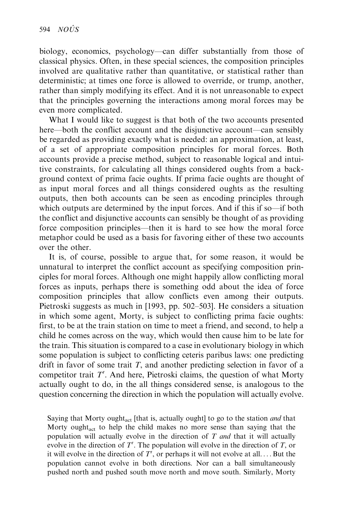biology, economics, psychology—can differ substantially from those of classical physics. Often, in these special sciences, the composition principles involved are qualitative rather than quantitative, or statistical rather than deterministic; at times one force is allowed to override, or trump, another, rather than simply modifying its effect. And it is not unreasonable to expect that the principles governing the interactions among moral forces may be even more complicated.

What I would like to suggest is that both of the two accounts presented here—both the conflict account and the disjunctive account—can sensibly be regarded as providing exactly what is needed: an approximation, at least, of a set of appropriate composition principles for moral forces. Both accounts provide a precise method, subject to reasonable logical and intuitive constraints, for calculating all things considered oughts from a background context of prima facie oughts. If prima facie oughts are thought of as input moral forces and all things considered oughts as the resulting outputs, then both accounts can be seen as encoding principles through which outputs are determined by the input forces. And if this if so—if both the conflict and disjunctive accounts can sensibly be thought of as providing force composition principles—then it is hard to see how the moral force metaphor could be used as a basis for favoring either of these two accounts over the other.

It is, of course, possible to argue that, for some reason, it would be unnatural to interpret the conflict account as specifying composition principles for moral forces. Although one might happily allow conflicting moral forces as inputs, perhaps there is something odd about the idea of force composition principles that allow conflicts even among their outputs. Pietroski suggests as much in [1993, pp. 502–503]. He considers a situation in which some agent, Morty, is subject to conflicting prima facie oughts: first, to be at the train station on time to meet a friend, and second, to help a child he comes across on the way, which would then cause him to be late for the train. This situation is compared to a case in evolutionary biology in which some population is subject to conflicting ceteris paribus laws: one predicting drift in favor of some trait  $T$ , and another predicting selection in favor of a competitor trait  $T'$ . And here, Pietroski claims, the question of what Morty actually ought to do, in the all things considered sense, is analogous to the question concerning the direction in which the population will actually evolve.

Saying that Morty ought<sub>act</sub> [that is, actually ought] to go to the station *and* that Morty ought<sub>act</sub> to help the child makes no more sense than saying that the population will actually evolve in the direction of  $T$  and that it will actually evolve in the direction of  $T'$ . The population will evolve in the direction of  $T$ , or it will evolve in the direction of  $T'$ , or perhaps it will not evolve at all... But the population cannot evolve in both directions. Nor can a ball simultaneously pushed north and pushed south move north and move south. Similarly, Morty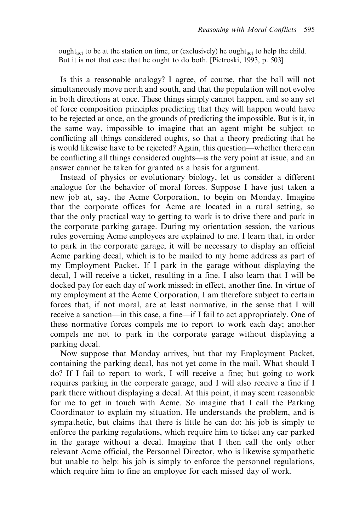ought<sub>act</sub> to be at the station on time, or (exclusively) he ought<sub>act</sub> to help the child. But it is not that case that he ought to do both. [Pietroski, 1993, p. 503]

Is this a reasonable analogy? I agree, of course, that the ball will not simultaneously move north and south, and that the population will not evolve in both directions at once. These things simply cannot happen, and so any set of force composition principles predicting that they will happen would have to be rejected at once, on the grounds of predicting the impossible. But is it, in the same way, impossible to imagine that an agent might be subject to conflicting all things considered oughts, so that a theory predicting that he is would likewise have to be rejected? Again, this question—whether there can be conflicting all things considered oughts—is the very point at issue, and an answer cannot be taken for granted as a basis for argument.

Instead of physics or evolutionary biology, let us consider a different analogue for the behavior of moral forces. Suppose I have just taken a new job at, say, the Acme Corporation, to begin on Monday. Imagine that the corporate offices for Acme are located in a rural setting, so that the only practical way to getting to work is to drive there and park in the corporate parking garage. During my orientation session, the various rules governing Acme employees are explained to me. I learn that, in order to park in the corporate garage, it will be necessary to display an official Acme parking decal, which is to be mailed to my home address as part of my Employment Packet. If I park in the garage without displaying the decal, I will receive a ticket, resulting in a fine. I also learn that I will be docked pay for each day of work missed: in effect, another fine. In virtue of my employment at the Acme Corporation, I am therefore subject to certain forces that, if not moral, are at least normative, in the sense that I will receive a sanction—in this case, a fine—if I fail to act appropriately. One of these normative forces compels me to report to work each day; another compels me not to park in the corporate garage without displaying a parking decal.

Now suppose that Monday arrives, but that my Employment Packet, containing the parking decal, has not yet come in the mail. What should I do? If I fail to report to work, I will receive a fine; but going to work requires parking in the corporate garage, and I will also receive a fine if I park there without displaying a decal. At this point, it may seem reasonable for me to get in touch with Acme. So imagine that I call the Parking Coordinator to explain my situation. He understands the problem, and is sympathetic, but claims that there is little he can do: his job is simply to enforce the parking regulations, which require him to ticket any car parked in the garage without a decal. Imagine that I then call the only other relevant Acme official, the Personnel Director, who is likewise sympathetic but unable to help: his job is simply to enforce the personnel regulations, which require him to fine an employee for each missed day of work.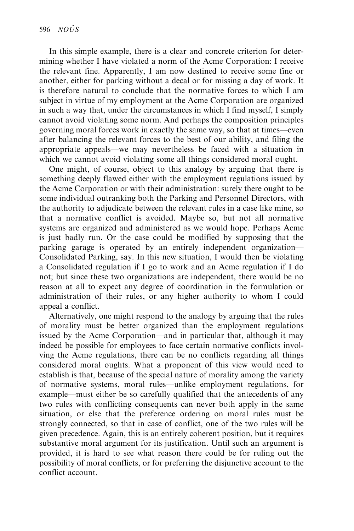In this simple example, there is a clear and concrete criterion for determining whether I have violated a norm of the Acme Corporation: I receive the relevant fine. Apparently, I am now destined to receive some fine or another, either for parking without a decal or for missing a day of work. It is therefore natural to conclude that the normative forces to which I am subject in virtue of my employment at the Acme Corporation are organized in such a way that, under the circumstances in which I find myself, I simply cannot avoid violating some norm. And perhaps the composition principles governing moral forces work in exactly the same way, so that at times—even after balancing the relevant forces to the best of our ability, and filing the appropriate appeals—we may nevertheless be faced with a situation in which we cannot avoid violating some all things considered moral ought.

One might, of course, object to this analogy by arguing that there is something deeply flawed either with the employment regulations issued by the Acme Corporation or with their administration: surely there ought to be some individual outranking both the Parking and Personnel Directors, with the authority to adjudicate between the relevant rules in a case like mine, so that a normative conflict is avoided. Maybe so, but not all normative systems are organized and administered as we would hope. Perhaps Acme is just badly run. Or the case could be modified by supposing that the parking garage is operated by an entirely independent organization— Consolidated Parking, say. In this new situation, I would then be violating a Consolidated regulation if I go to work and an Acme regulation if I do not; but since these two organizations are independent, there would be no reason at all to expect any degree of coordination in the formulation or administration of their rules, or any higher authority to whom I could appeal a conflict.

Alternatively, one might respond to the analogy by arguing that the rules of morality must be better organized than the employment regulations issued by the Acme Corporation—and in particular that, although it may indeed be possible for employees to face certain normative conflicts involving the Acme regulations, there can be no conflicts regarding all things considered moral oughts. What a proponent of this view would need to establish is that, because of the special nature of morality among the variety of normative systems, moral rules—unlike employment regulations, for example—must either be so carefully qualified that the antecedents of any two rules with conflicting consequents can never both apply in the same situation, or else that the preference ordering on moral rules must be strongly connected, so that in case of conflict, one of the two rules will be given precedence. Again, this is an entirely coherent position, but it requires substantive moral argument for its justification. Until such an argument is provided, it is hard to see what reason there could be for ruling out the possibility of moral conflicts, or for preferring the disjunctive account to the conflict account.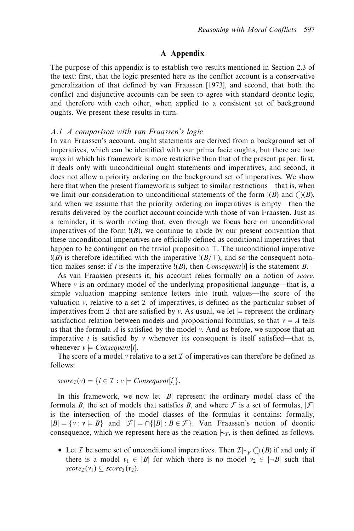#### A Appendix

The purpose of this appendix is to establish two results mentioned in Section 2.3 of the text: first, that the logic presented here as the conflict account is a conservative generalization of that defined by van Fraassen [1973], and second, that both the conflict and disjunctive accounts can be seen to agree with standard deontic logic, and therefore with each other, when applied to a consistent set of background oughts. We present these results in turn.

#### A.1 A comparison with van Fraassen's logic

In van Fraassen's account, ought statements are derived from a background set of imperatives, which can be identified with our prima facie oughts, but there are two ways in which his framework is more restrictive than that of the present paper: first, it deals only with unconditional ought statements and imperatives, and second, it does not allow a priority ordering on the background set of imperatives. We show here that when the present framework is subject to similar restrictions—that is, when we limit our consideration to unconditional statements of the form  $!(B)$  and  $\bigcirc(B)$ , and when we assume that the priority ordering on imperatives is empty—then the results delivered by the conflict account coincide with those of van Fraassen. Just as a reminder, it is worth noting that, even though we focus here on unconditional imperatives of the form  $!(B)$ , we continue to abide by our present convention that these unconditional imperatives are officially defined as conditional imperatives that happen to be contingent on the trivial proposition  $\top$ . The unconditional imperative  $!(B)$  is therefore identified with the imperative  $!(B/\top)$ , and so the consequent notation makes sense: if i is the imperative  $!(B)$ , then *Consequent*[i] is the statement B.

As van Fraassen presents it, his account relies formally on a notion of *score*. Where  $\nu$  is an ordinary model of the underlying propositional language—that is, a simple valuation mapping sentence letters into truth values—the score of the valuation v, relative to a set  $\mathcal I$  of imperatives, is defined as the particular subset of imperatives from T that are satisfied by v. As usual, we let  $\models$  represent the ordinary satisfaction relation between models and propositional formulas, so that  $v \models A$  tells us that the formula A is satisfied by the model  $\nu$ . And as before, we suppose that an imperative  $i$  is satisfied by  $v$  whenever its consequent is itself satisfied—that is, whenever  $v \models \textit{Consequent}[i]$ .

The score of a model v relative to a set  $\mathcal I$  of imperatives can therefore be defined as follows:

 $score_{\mathcal{I}}(v) = \{i \in \mathcal{I} : v \models \text{Consequent}[i]\}.$ 

In this framework, we now let  $|B|$  represent the ordinary model class of the formula B, the set of models that satisfies B, and where F is a set of formulas,  $|\mathcal{F}|$ is the intersection of the model classes of the formulas it contains: formally,  $|B| = \{v : v \models B\}$  and  $|\mathcal{F}| = \bigcap \{ |B| : B \in \mathcal{F} \}$ . Van Fraassen's notion of deontic consequence, which we represent here as the relation  $\sim_F$ , is then defined as follows.

• Let *T* be some set of unconditional imperatives. Then  $\mathcal{I}\mid_{\mathcal{F}} \bigcirc (B)$  if and only if there is a model  $v_1 \in |B|$  for which there is no model  $v_2 \in |\neg B|$  such that  $score_{\mathcal{I}}(v_1) \subseteq score_{\mathcal{I}}(v_2)$ .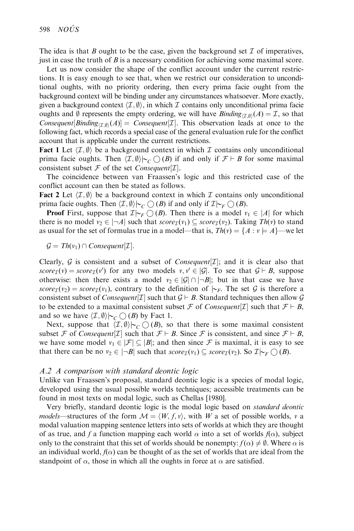The idea is that B ought to be the case, given the background set  $\mathcal I$  of imperatives, just in case the truth of  $B$  is a necessary condition for achieving some maximal score.

Let us now consider the shape of the conflict account under the current restrictions. It is easy enough to see that, when we restrict our consideration to unconditional oughts, with no priority ordering, then every prima facie ought from the background context will be binding under any circumstances whatsoever. More exactly, given a background context  $\langle \mathcal{I}, \emptyset \rangle$ , in which I contains only unconditional prima facie oughts and  $\emptyset$  represents the empty ordering, we will have *Binding*<sub> $(I,\emptyset)$ </sub> $(A) = I$ , so that Consequent  $\text{Binding}_{\langle T, \emptyset \rangle}(A) = \text{Consequent}[T]$ . This observation leads at once to the following fact, which records a special case of the general evaluation rule for the conflict account that is applicable under the current restrictions.

**Fact 1** Let  $\langle \mathcal{I}, \emptyset \rangle$  be a background context in which I contains only unconditional prima facie oughts. Then  $\langle \mathcal{I}, \emptyset \rangle \models_C \bigcirc (B)$  if and only if  $\mathcal{F} \vdash B$  for some maximal consistent subset  $F$  of the set *Consequent*[*T*].

The coincidence between van Fraassen's logic and this restricted case of the conflict account can then be stated as follows.

**Fact 2** Let  $\langle \mathcal{I}, \emptyset \rangle$  be a background context in which I contains only unconditional prima facie oughts. Then  $\langle \mathcal{I}, \emptyset \rangle \sim_C \bigcirc (B)$  if and only if  $\mathcal{I} \sim_F \bigcirc (B)$ .

**Proof** First, suppose that  $\mathcal{I} \rightharpoonup_F \bigcirc (B)$ . Then there is a model  $v_1 \in |A|$  for which there is no model  $v_2 \in |\neg A|$  such that  $score_{\mathcal{I}}(v_1) \subseteq score_{\mathcal{I}}(v_2)$ . Taking  $Th(v)$  to stand as usual for the set of formulas true in a model—that is,  $Th(v) = \{A : v \models A\}$ —we let

 $\mathcal{G} = Th(v_1) \cap Consequent[\mathcal{I}].$ 

Clearly,  $G$  is consistent and a subset of *Consequent*  $[I]$ ; and it is clear also that score<sub>I</sub>(v) = score<sub>I</sub>(v') for any two models  $v, v' \in |G|$ . To see that  $G \vdash B$ , suppose otherwise: then there exists a model  $v_2 \in |G| \cap |-B|$ ; but in that case we have  $score_{\tau}(v_1) = score_{\tau}(v_1)$ , contrary to the definition of  $\vdash_{F}$ . The set G is therefore a consistent subset of *Consequent* $[I]$  such that  $G \vdash B$ . Standard techniques then allow G to be extended to a maximal consistent subset F of Consequent [T] such that  $\mathcal{F} \vdash B$ , and so we have  $\langle \mathcal{I}, \emptyset \rangle \sim_C \bigcirc (B)$  by Fact 1.

Next, suppose that  $\langle \mathcal{I}, \emptyset \rangle \models_C \bigcirc (B)$ , so that there is some maximal consistent subset F of Consequent  $[\mathcal{I}]$  such that  $\mathcal{F} \vdash B$ . Since F is consistent, and since  $\mathcal{F} \vdash B$ , we have some model  $v_1 \in |\mathcal{F}| \subseteq |B|$ ; and then since F is maximal, it is easy to see that there can be no  $v_2 \in |\neg B|$  such that  $score_{\mathcal{I}}(v_1) \subseteq score_{\mathcal{I}}(v_2)$ . So  $\mathcal{I} \models_{F} \bigcirc (B)$ .

#### A.2 A comparison with standard deontic logic

Unlike van Fraassen's proposal, standard deontic logic is a species of modal logic, developed using the usual possible worlds techniques; accessible treatments can be found in most texts on modal logic, such as Chellas [1980].

Very briefly, standard deontic logic is the modal logic based on standard deontic models—structures of the form  $\mathcal{M} = \langle W, f, v \rangle$ , with W a set of possible worlds, v a modal valuation mapping sentence letters into sets of worlds at which they are thought of as true, and f a function mapping each world  $\alpha$  into a set of worlds  $f(\alpha)$ , subject only to the constraint that this set of worlds should be nonempty:  $f(\alpha) \neq \emptyset$ . Where  $\alpha$  is an individual world,  $f(\alpha)$  can be thought of as the set of worlds that are ideal from the standpoint of  $\alpha$ , those in which all the oughts in force at  $\alpha$  are satisfied.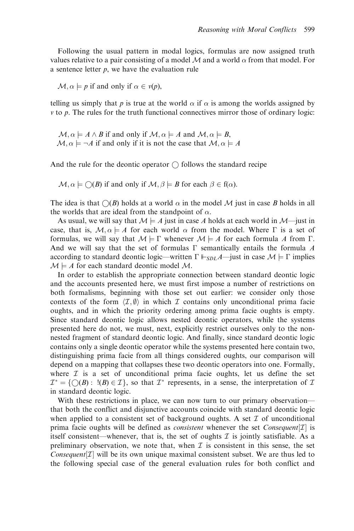Following the usual pattern in modal logics, formulas are now assigned truth values relative to a pair consisting of a model  $\mathcal M$  and a world  $\alpha$  from that model. For a sentence letter  $p$ , we have the evaluation rule

 $\mathcal{M}, \alpha \models p$  if and only if  $\alpha \in v(p)$ ,

telling us simply that p is true at the world  $\alpha$  if  $\alpha$  is among the worlds assigned by  $\nu$  to  $\nu$ . The rules for the truth functional connectives mirror those of ordinary logic:

 $\mathcal{M}, \alpha \models A \land B$  if and only if  $\mathcal{M}, \alpha \models A$  and  $\mathcal{M}, \alpha \models B$ ,  $M, \alpha \models \neg A$  if and only if it is not the case that  $M, \alpha \models A$ 

And the rule for the deontic operator  $\bigcirc$  follows the standard recipe

 $\mathcal{M}, \alpha \models \bigcirc(B)$  if and only if  $\mathcal{M}, \beta \models B$  for each  $\beta \in f(\alpha)$ .

The idea is that  $O(B)$  holds at a world  $\alpha$  in the model M just in case B holds in all the worlds that are ideal from the standpoint of  $\alpha$ .

As usual, we will say that  $M \models A$  just in case A holds at each world in M—just in case, that is,  $M, \alpha \models A$  for each world  $\alpha$  from the model. Where  $\Gamma$  is a set of formulas, we will say that  $\mathcal{M} \models \Gamma$  whenever  $\mathcal{M} \models A$  for each formula A from  $\Gamma$ . And we will say that the set of formulas  $\Gamma$  semantically entails the formula  $A$ according to standard deontic logic—written  $\Gamma \vdash_{SDL} A$ —just in case  $\mathcal{M} \models \Gamma$  implies  $\mathcal{M} \models A$  for each standard deontic model M.

In order to establish the appropriate connection between standard deontic logic and the accounts presented here, we must first impose a number of restrictions on both formalisms, beginning with those set out earlier: we consider only those contexts of the form  $\langle \mathcal{I}, \emptyset \rangle$  in which I contains only unconditional prima facie oughts, and in which the priority ordering among prima facie oughts is empty. Since standard deontic logic allows nested deontic operators, while the systems presented here do not, we must, next, explicitly restrict ourselves only to the nonnested fragment of standard deontic logic. And finally, since standard deontic logic contains only a single deontic operator while the systems presented here contain two, distinguishing prima facie from all things considered oughts, our comparison will depend on a mapping that collapses these two deontic operators into one. Formally, where  $I$  is a set of unconditional prima facie oughts, let us define the set  $\mathcal{I}^* = \{ \bigcirc(B) : \exists (B) \in \mathcal{I} \}$ , so that  $\mathcal{I}^*$  represents, in a sense, the interpretation of  $\mathcal{I}$ in standard deontic logic.

With these restrictions in place, we can now turn to our primary observation that both the conflict and disjunctive accounts coincide with standard deontic logic when applied to a consistent set of background oughts. A set  $\mathcal I$  of unconditional prima facie oughts will be defined as *consistent* whenever the set *Consequent* $[I]$  is itself consistent—whenever, that is, the set of oughts  $\mathcal I$  is jointly satisfiable. As a preliminary observation, we note that, when  $\mathcal I$  is consistent in this sense, the set Consequent  $[\mathcal{I}]$  will be its own unique maximal consistent subset. We are thus led to the following special case of the general evaluation rules for both conflict and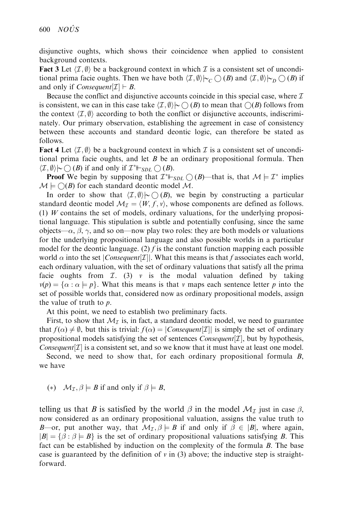disjunctive oughts, which shows their coincidence when applied to consistent background contexts.

**Fact 3** Let  $\langle \mathcal{I}, \emptyset \rangle$  be a background context in which  $\mathcal{I}$  is a consistent set of unconditional prima facie oughts. Then we have both  $\langle I, \emptyset \rangle \sim_C \bigcirc (B)$  and  $\langle I, \emptyset \rangle \sim_D \bigcirc (B)$  if and only if *Consequent*[ $\mathcal{I}$ ]  $\vdash$  *B*.

Because the conflict and disjunctive accounts coincide in this special case, where  $\mathcal I$ is consistent, we can in this case take  $\langle I, \emptyset \rangle \sim \bigcirc (B)$  to mean that  $\bigcirc (B)$  follows from the context  $\langle \mathcal{I}, \emptyset \rangle$  according to both the conflict or disjunctive accounts, indiscriminately. Our primary observation, establishing the agreement in case of consistency between these accounts and standard deontic logic, can therefore be stated as follows.

**Fact 4** Let  $\langle \mathcal{I}, \emptyset \rangle$  be a background context in which  $\mathcal{I}$  is a consistent set of unconditional prima facie oughts, and let  $B$  be an ordinary propositional formula. Then  $\langle \mathcal{I}, \emptyset \rangle$   $\sim \bigcirc$  (*B*) if and only if  $\mathcal{I}^* \vdash_{SDL} \bigcirc$  (*B*).

**Proof** We begin by supposing that  $\mathcal{I}^* \models_{SDL} \bigcirc (B)$ —that is, that  $\mathcal{M} \models \mathcal{I}^*$  implies  $\mathcal{M} \models \bigcirc(B)$  for each standard deontic model M.

In order to show that  $\langle I, \emptyset \rangle \sim \bigcirc (B)$ , we begin by constructing a particular standard deontic model  $\mathcal{M}_{\mathcal{I}} = \langle W, f, v \rangle$ , whose components are defined as follows. (1)  $W$  contains the set of models, ordinary valuations, for the underlying propositional language. This stipulation is subtle and potentially confusing, since the same objects— $\alpha$ ,  $\beta$ ,  $\gamma$ , and so on—now play two roles: they are both models or valuations for the underlying propositional language and also possible worlds in a particular model for the deontic language. (2)  $f$  is the constant function mapping each possible world  $\alpha$  into the set |*Consequent*[*I*]. What this means is that f associates each world, each ordinary valuation, with the set of ordinary valuations that satisfy all the prima facie oughts from  $I. (3)$  v is the modal valuation defined by taking  $v(p) = \{\alpha : \alpha \models p\}$ . What this means is that v maps each sentence letter p into the set of possible worlds that, considered now as ordinary propositional models, assign the value of truth to  $p$ .

At this point, we need to establish two preliminary facts.

First, to show that  $\mathcal{M}_{\mathcal{I}}$  is, in fact, a standard deontic model, we need to guarantee that  $f(\alpha) \neq \emptyset$ , but this is trivial:  $f(\alpha) = |Consequent|\mathcal{I}|$  is simply the set of ordinary propositional models satisfying the set of sentences  $Consequent[\mathcal{I}]$ , but by hypothesis, *Consequent* $[I]$  is a consistent set, and so we know that it must have at least one model.

Second, we need to show that, for each ordinary propositional formula B, we have

(\*)  $\mathcal{M}_{\mathcal{I}}, \beta \models B$  if and only if  $\beta \models B$ ,

telling us that B is satisfied by the world  $\beta$  in the model  $\mathcal{M}_{\mathcal{I}}$  just in case  $\beta$ , now considered as an ordinary propositional valuation, assigns the value truth to B—or, put another way, that  $\mathcal{M}_{\mathcal{I}}, \beta \models B$  if and only if  $\beta \in |B|$ , where again,  $|B| = {\beta : \beta \vdash B}$  is the set of ordinary propositional valuations satisfying B. This fact can be established by induction on the complexity of the formula B. The base case is guaranteed by the definition of  $\nu$  in (3) above; the inductive step is straightforward.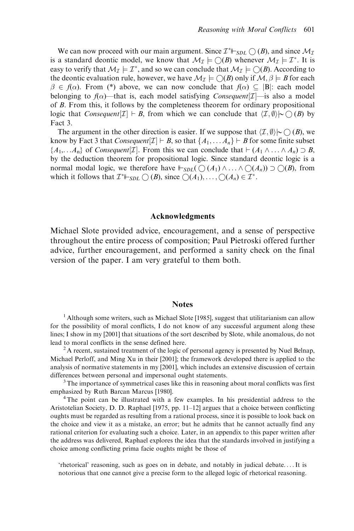We can now proceed with our main argument. Since  $\mathcal{I}^* \mathcal{F}_{SDL} \bigcirc (B)$ , and since  $\mathcal{M}_{\mathcal{I}}$ is a standard deontic model, we know that  $\mathcal{M}_{\mathcal{I}} \models \bigcirc(B)$  whenever  $\mathcal{M}_{\mathcal{I}} \models \mathcal{I}^*$ . It is easy to verify that  $\mathcal{M}_\mathcal{I} \models \mathcal{I}^*$ , and so we can conclude that  $\mathcal{M}_\mathcal{I} \models \bigcirc(B)$ . According to the deontic evaluation rule, however, we have  $\mathcal{M}_\mathcal{I} \models \bigcirc(B)$  only if  $\mathcal{M}, \beta \models B$  for each  $\beta \in f(\alpha)$ . From (\*) above, we can now conclude that  $f(\alpha) \subseteq |B|$ : each model belonging to  $f(\alpha)$ —that is, each model satisfying *Consequent*  $|\mathcal{I}|$ —is also a model of B. From this, it follows by the completeness theorem for ordinary propositional logic that *Consequent*  $[\mathcal{I}] \vdash B$ , from which we can conclude that  $\langle \mathcal{I}, \emptyset \rangle \sim \bigcirc(B)$  by Fact 3.

The argument in the other direction is easier. If we suppose that  $\langle I,\emptyset\rangle \sim \bigcirc (B)$ , we know by Fact 3 that *Consequent* $[I] \vdash B$ , so that  $\{A_1, \ldots, A_n\} \vdash B$  for some finite subset  $\{A_1, \ldots A_n\}$  of *Consequent* [*I*]. From this we can conclude that  $\vdash (A_1 \land \ldots \land A_n) \supset B$ , by the deduction theorem for propositional logic. Since standard deontic logic is a normal modal logic, we therefore have  $\vdash_{SDL} (\bigcirc (A_1) \land ... \land \bigcirc (A_n)) \supset \bigcirc (B)$ , from which it follows that  $\mathcal{I}^* \models_{SDL} \bigcirc (B)$ , since  $\bigcirc (A_1), \dots, \bigcirc (A_n) \in \mathcal{I}^*$ .

#### Acknowledgments

Michael Slote provided advice, encouragement, and a sense of perspective throughout the entire process of composition; Paul Pietroski offered further advice, further encouragement, and performed a sanity check on the final version of the paper. I am very grateful to them both.

#### **Notes**

 $<sup>1</sup>$  Although some writers, such as Michael Slote [1985], suggest that utilitarianism can allow</sup> for the possibility of moral conflicts, I do not know of any successful argument along these lines; I show in my [2001] that situations of the sort described by Slote, while anomalous, do not lead to moral conflicts in the sense defined here.<br><sup>2</sup> A recent, sustained treatment of the logic of personal agency is presented by Nuel Belnap,

Michael Perloff, and Ming Xu in their [2001]; the framework developed there is applied to the analysis of normative statements in my [2001], which includes an extensive discussion of certain differences between personal and impersonal ought statements.<br><sup>3</sup>The importance of symmetrical cases like this in reasoning about moral conflicts was first

emphasized by Ruth Barcan Marcus [1980]. 4The point can be illustrated with a few examples. In his presidential address to the

Aristotelian Society, D. D. Raphael [1975, pp. 11–12] argues that a choice between conflicting oughts must be regarded as resulting from a rational process, since it is possible to look back on the choice and view it as a mistake, an error; but he admits that he cannot actually find any rational criterion for evaluating such a choice. Later, in an appendix to this paper written after the address was delivered, Raphael explores the idea that the standards involved in justifying a choice among conflicting prima facie oughts might be those of

'rhetorical' reasoning, such as goes on in debate, and notably in judical debate. ...It is notorious that one cannot give a precise form to the alleged logic of rhetorical reasoning.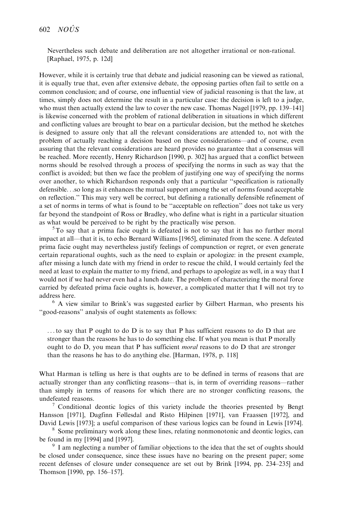Nevertheless such debate and deliberation are not altogether irrational or non-rational. [Raphael, 1975, p. 12d]

However, while it is certainly true that debate and judicial reasoning can be viewed as rational, it is equally true that, even after extensive debate, the opposing parties often fail to settle on a common conclusion; and of course, one influential view of judicial reasoning is that the law, at times, simply does not determine the result in a particular case: the decision is left to a judge, who must then actually extend the law to cover the new case. Thomas Nagel [1979, pp. 139–141] is likewise concerned with the problem of rational deliberation in situations in which different and conflicting values are brought to bear on a particular decision, but the method he sketches is designed to assure only that all the relevant considerations are attended to, not with the problem of actually reaching a decision based on these considerations—and of course, even assuring that the relevant considerations are heard provides no guarantee that a consensus will be reached. More recently, Henry Richardson [1990, p. 302] has argued that a conflict between norms should be resolved through a process of specifying the norms in such as way that the conflict is avoided; but then we face the problem of justifying one way of specifying the norms over another, to which Richardson responds only that a particular ''specification is rationally defensible...so long as it enhances the mutual support among the set of norms found acceptable on reflection.'' This may very well be correct, but defining a rationally defensible refinement of a set of norms in terms of what is found to be ''acceptable on reflection'' does not take us very far beyond the standpoint of Ross or Bradley, who define what is right in a particular situation as what would be perceived to be right by the practically wise person.<br><sup>5</sup>To say that a prima facie ought is defeated is not to say that it has no further moral

impact at all—that it is, to echo Bernard Williams [1965], eliminated from the scene. A defeated prima facie ought may nevertheless justify feelings of compunction or regret, or even generate certain reparational oughts, such as the need to explain or apologize: in the present example, after missing a lunch date with my friend in order to rescue the child, I would certainly feel the need at least to explain the matter to my friend, and perhaps to apologize as well, in a way that I would not if we had never even had a lunch date. The problem of characterizing the moral force carried by defeated prima facie oughts is, however, a complicated matter that I will not try to address here. <sup>6</sup> A view similar to Brink's was suggested earlier by Gilbert Harman, who presents his

''good-reasons'' analysis of ought statements as follows:

... to say that P ought to do D is to say that P has sufficient reasons to do D that are stronger than the reasons he has to do something else. If what you mean is that P morally ought to do  $D$ , you mean that P has sufficient *moral* reasons to do  $D$  that are stronger than the reasons he has to do anything else. [Harman, 1978, p. 118]

What Harman is telling us here is that oughts are to be defined in terms of reasons that are actually stronger than any conflicting reasons—that is, in term of overriding reasons—rather than simply in terms of reasons for which there are no stronger conflicting reasons, the undefeated reasons.

 $\frac{7}{7}$  Conditional deontic logics of this variety include the theories presented by Bengt Hansson [1971], Dagfinn Føllesdal and Risto Hilpinen [1971], van Fraassen [1972], and David Lewis [1973]; a useful comparison of these various logics can be found in Lewis [1974].

<sup>8</sup> Some preliminary work along these lines, relating nonmonotonic and deontic logics, can be found in my [1994] and [1997].<br><sup>9</sup> I am neglecting a number of familiar objections to the idea that the set of oughts should

be closed under consequence, since these issues have no bearing on the present paper; some recent defenses of closure under consequence are set out by Brink [1994, pp. 234–235] and Thomson [1990, pp. 156–157].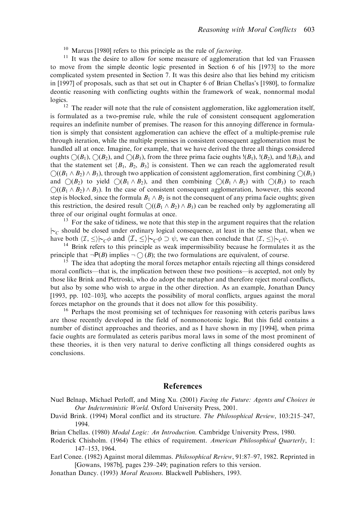<sup>10</sup> Marcus [1980] refers to this principle as the rule of *factoring*.<br><sup>11</sup> It was the desire to allow for some measure of agglomeration that led van Fraassen to move from the simple deontic logic presented in Section 6 of his [1973] to the more complicated system presented in Section 7. It was this desire also that lies behind my criticism in [1997] of proposals, such as that set out in Chapter 6 of Brian Chellas's [1980], to formalize deontic reasoning with conflicting oughts within the framework of weak, nonnormal modal logics.<br><sup>12</sup> The reader will note that the rule of consistent agglomeration, like agglomeration itself,

is formulated as a two-premise rule, while the rule of consistent consequent agglomeration requires an indefinite number of premises. The reason for this annoying difference in formulation is simply that consistent agglomeration can achieve the effect of a multiple-premise rule through iteration, while the multiple premises in consistent consequent agglomeration must be handled all at once. Imagine, for example, that we have derived the three all things considered oughts  $\bigcirc(B_1)$ ,  $\bigcirc(B_2)$ , and  $\bigcirc(B_3)$ , from the three prima facie oughts !(B<sub>1</sub>), !(B<sub>2</sub>), and !(B<sub>3</sub>), and that the statement set  $\{B_1, B_2, B_3\}$  is consistent. Then we can reach the agglomerated result  $\bigcirc$ ( $(B_1 \wedge B_2) \wedge B_3$ ), through two application of consistent agglomeration, first combining  $\bigcirc$ ( $B_1$ ) and  $\bigcirc (B_2)$  to yield  $\bigcirc (B_1 \wedge B_2)$ , and then combining  $\bigcirc (B_1 \wedge B_2)$  with  $\bigcirc (B_3)$  to reach  $\bigcirc$ ( $(B_1 \wedge B_2) \wedge B_3$ ). In the case of consistent consequent agglomeration, however, this second step is blocked, since the formula  $B_1 \wedge B_2$  is not the consequent of any prima facie oughts; given this restriction, the desired result  $\bigcirc ((B_1 \wedge B_2) \wedge B_3)$  can be reached only by agglomerating all three of our original ought formulas at once.<br><sup>13</sup> For the sake of tidiness, we note that this step in the argument requires that the relation

 $\left|\nabla_C$  should be closed under ordinary logical consequence, at least in the sense that, when we have both  $\langle \mathcal{I}, \leq \rangle \left|\nabla_C \phi$  and  $\langle \mathcal{I}, \leq \rangle \left|\nabla_C \phi \supset \psi$ , we can then conclude that  $\langle \mathcal{I}, \leq \rangle \left|\nabla_C \psi\right\r$ 

 $14$  Brink refers to this principle as weak impermissibility because he formulates it as the principle that  $\neg P(B)$  implies  $\neg \bigcirc (B)$ ; the two formulations are equivalent, of course.

<sup>15</sup> The idea that adopting the moral forces metaphor entails rejecting all things considered moral conflicts—that is, the implication between these two positions—is accepted, not only by those like Brink and Pietroski, who do adopt the metaphor and therefore reject moral conflicts, but also by some who wish to argue in the other direction. As an example, Jonathan Dancy [1993, pp. 102–103], who accepts the possibility of moral conflicts, argues against the moral forces metaphor on the grounds that it does not allow for this possibility.<br><sup>16</sup> Perhaps the most promising set of techniques for reasoning with ceteris paribus laws

are those recently developed in the field of nonmonotonic logic. But this field contains a number of distinct approaches and theories, and as I have shown in my [1994], when prima facie oughts are formulated as ceteris paribus moral laws in some of the most prominent of these theories, it is then very natural to derive conflicting all things considered oughts as conclusions.

### References

- Nuel Belnap, Michael Perloff, and Ming Xu. (2001) Facing the Future: Agents and Choices in Our Indeterministic World. Oxford University Press, 2001.
- David Brink. (1994) Moral conflict and its structure. The Philosophical Review, 103:215–247, 1994.
- Brian Chellas. (1980) Modal Logic: An Introduction. Cambridge University Press, 1980.
- Roderick Chisholm. (1964) The ethics of requirement. American Philosophical Quarterly, 1: 147–153, 1964.
- Earl Conee. (1982) Against moral dilemmas. Philosophical Review, 91:87–97, 1982. Reprinted in [Gowans, 1987b], pages 239–249; pagination refers to this version.
- Jonathan Dancy. (1993) Moral Reasons. Blackwell Publishers, 1993.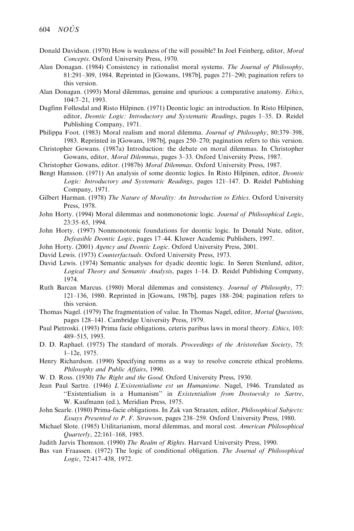- Donald Davidson. (1970) How is weakness of the will possible? In Joel Feinberg, editor, Moral Concepts. Oxford University Press, 1970.
- Alan Donagan. (1984) Consistency in rationalist moral systems. The Journal of Philosophy, 81:291–309, 1984. Reprinted in [Gowans, 1987b], pages 271–290; pagination refers to this version.
- Alan Donagan. (1993) Moral dilemmas, genuine and spurious: a comparative anatomy. Ethics, 104:7–21, 1993.
- Dagfinn Føllesdal and Risto Hilpinen. (1971) Deontic logic: an introduction. In Risto Hilpinen, editor, Deontic Logic: Introductory and Systematic Readings, pages 1–35. D. Reidel Publishing Company, 1971.
- Philippa Foot. (1983) Moral realism and moral dilemma. Journal of Philosophy, 80:379–398, 1983. Reprinted in [Gowans, 1987b], pages 250–270; pagination refers to this version.
- Christopher Gowans. (1987a) Introduction: the debate on moral dilemmas. In Christopher Gowans, editor, Moral Dilemmas, pages 3–33. Oxford University Press, 1987.
- Christopher Gowans, editor. (1987b) Moral Dilemmas. Oxford University Press, 1987.
- Bengt Hansson. (1971) An analysis of some deontic logics. In Risto Hilpinen, editor, Deontic Logic: Introductory and Systematic Readings, pages 121–147. D. Reidel Publishing Company, 1971.
- Gilbert Harman. (1978) The Nature of Morality: An Introduction to Ethics. Oxford University Press, 1978.
- John Horty. (1994) Moral dilemmas and nonmonotonic logic. Journal of Philosophical Logic, 23:35–65, 1994.
- John Horty. (1997) Nonmonotonic foundations for deontic logic. In Donald Nute, editor, Defeasible Deontic Logic, pages 17–44. Kluwer Academic Publishers, 1997.
- John Horty. (2001) Agency and Deontic Logic. Oxford University Press, 2001.
- David Lewis. (1973) Counterfactuals. Oxford University Press, 1973.
- David Lewis. (1974) Semantic analyses for dyadic deontic logic. In Søren Stenlund, editor, Logical Theory and Semantic Analysis, pages 1–14. D. Reidel Publishing Company, 1974.
- Ruth Barcan Marcus. (1980) Moral dilemmas and consistency. Journal of Philosophy, 77: 121–136, 1980. Reprinted in [Gowans, 1987b], pages 188–204; pagination refers to this version.
- Thomas Nagel. (1979) The fragmentation of value. In Thomas Nagel, editor, Mortal Questions, pages 128–141. Cambridge University Press, 1979.
- Paul Pietroski. (1993) Prima facie obligations, ceteris paribus laws in moral theory. Ethics, 103: 489–515, 1993.
- D. D. Raphael. (1975) The standard of morals. Proceedings of the Aristotelian Society, 75: 1–12e, 1975.
- Henry Richardson. (1990) Specifying norms as a way to resolve concrete ethical problems. Philosophy and Public Affairs, 1990.
- W. D. Ross. (1930) The Right and the Good. Oxford University Press, 1930.
- Jean Paul Sartre. (1946) L'Existentialisme est un Humanisme. Nagel, 1946. Translated as ''Existentialism is a Humanism'' in Existentialism from Dostoevsky to Sartre, W. Kaufmann (ed.), Meridian Press, 1975.
- John Searle. (1980) Prima-facie obligations. In Zak van Straaten, editor, Philosophical Subjects: Essays Presented to P. F. Strawson, pages 238–259. Oxford University Press, 1980.
- Michael Slote. (1985) Utilitarianism, moral dilemmas, and moral cost. American Philosophical Quarterly, 22:161–168, 1985.
- Judith Jarvis Thomson. (1990) The Realm of Rights. Harvard University Press, 1990.
- Bas van Fraassen. (1972) The logic of conditional obligation. The Journal of Philosophical Logic, 72:417–438, 1972.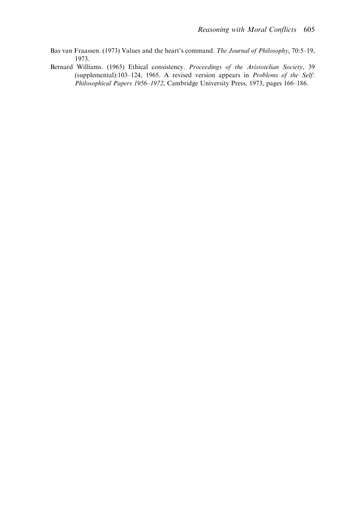- Bas van Fraassen. (1973) Values and the heart's command. The Journal of Philosophy, 70:5–19, 1973.
- Bernard Williams. (1965) Ethical consistency. Proceedings of the Aristotelian Society, 39 (supplemental):103–124, 1965. A revised version appears in Problems of the Self: Philosophical Papers 1956–1972, Cambridge University Press, 1973, pages 166–186.